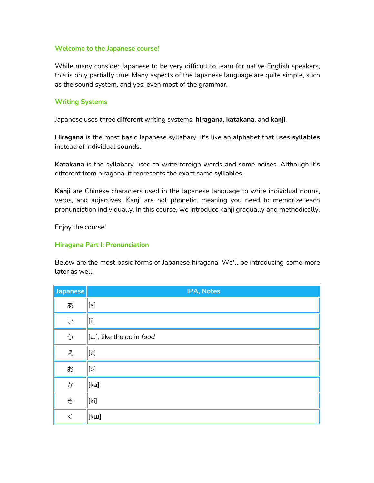#### **Welcome to the Japanese course!**

While many consider Japanese to be very difficult to learn for native English speakers, this is only partially true. Many aspects of the Japanese language are quite simple, such as the sound system, and yes, even most of the grammar.

#### **Writing Systems**

Japanese uses three different writing systems, **hiragana**, **katakana**, and **kanji**.

**Hiragana** is the most basic Japanese syllabary. It's like an alphabet that uses **syllables** instead of individual **sounds**.

**Katakana** is the syllabary used to write foreign words and some noises. Although it's different from hiragana, it represents the exact same **syllables**.

**Kanji** are Chinese characters used in the Japanese language to write individual nouns, verbs, and adjectives. Kanji are not phonetic, meaning you need to memorize each pronunciation individually. In this course, we introduce kanji gradually and methodically.

Enjoy the course!

#### **Hiragana Part I: Pronunciation**

Below are the most basic forms of Japanese hiragana. We'll be introducing some more later as well.

| Japanese | IPA, Notes                        |
|----------|-----------------------------------|
| あ        | $[a]$                             |
| $\cup$   | $[$                               |
| う        | [ <i>w</i> ], like the oo in food |
| え        | [e]                               |
| お        | [o]                               |
| か        | [ka]                              |
| き        | [ki]                              |
| $\lt$    | [kw]                              |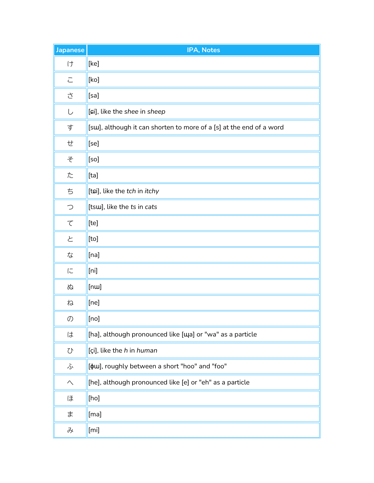| <b>Japanese</b>      | IPA, Notes                                                          |
|----------------------|---------------------------------------------------------------------|
| け                    | [ke]                                                                |
| $\overline{\subset}$ | [ko]                                                                |
| さ                    | [sa]                                                                |
| し                    | [ci], like the shee in sheep                                        |
| す                    | [sw], although it can shorten to more of a [s] at the end of a word |
| せ                    | [se]                                                                |
| そ                    | [so]                                                                |
| た                    | [ta]                                                                |
| ち                    | [tɕi], like the tch in itchy                                        |
| $\bigcirc$           | [tsw], like the ts in cats                                          |
| $\tau$               | [te]                                                                |
| と                    | [t <sub>o</sub> ]                                                   |
| な                    | $[$ na]                                                             |
| に                    | [n]                                                                 |
| ぬ                    | [ <sub>nu</sub> ]                                                   |
| ね                    | [ne]                                                                |
| $\mathcal{O}$        | $[$ [no]                                                            |
| は                    | [ha], although pronounced like [Ma] or "wa" as a particle           |
| $\mathcal{Q}$        | [çi], like the h in human                                           |
| ふ                    | [ $\phi$ w], roughly between a short "hoo" and "foo"                |
| $\curvearrowright$   | [he], although pronounced like [e] or "eh" as a particle            |
| ほ                    | [ho]                                                                |
| ま                    | $[$ ma]                                                             |
| み                    | [mi]                                                                |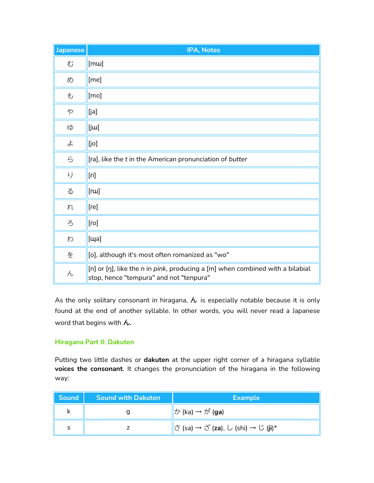| <b>Japanese</b> | IPA, Notes                                                                                                               |
|-----------------|--------------------------------------------------------------------------------------------------------------------------|
| む               | [mu]                                                                                                                     |
| め               | [me]                                                                                                                     |
| も               | [mo]                                                                                                                     |
| や               | [ja]                                                                                                                     |
| ゆ               | $[$ j $\mu$                                                                                                              |
| よ               | [jo]                                                                                                                     |
| ら               | [ra], like the t in the American pronunciation of butter                                                                 |
| り               | [ri]                                                                                                                     |
| る               | $[{\mathsf{r}}{\mathsf{u}}]$                                                                                             |
| れ               | [re]                                                                                                                     |
| ろ               | $[{\sf no}]$                                                                                                             |
| わ               | [ɯa]                                                                                                                     |
| を               | [o], although it's most often romanized as "wo"                                                                          |
| $\overline{h}$  | [n] or [ŋ], like the n in pink, producing a [m] when combined with a bilabial<br>stop, hence "tempura" and not "tenpura" |

As the only solitary consonant in hiragana,  $\lambda$  is especially notable because it is only found at the end of another syllable. In other words, you will never read a Japanese word that begins with ん**.**

#### **Hiragana Part II: Dakuten**

Putting two little dashes or **dakuten** at the upper right corner of a hiragana syllable **voices the consonant**. It changes the pronunciation of the hiragana in the following way:

| $\ $ Sound $\ $ | <b>Sound with Dakuten</b> | <b>Example</b>                                       |
|-----------------|---------------------------|------------------------------------------------------|
|                 |                           | $\ $ か (ka) → が (ga)                                 |
| s               |                           | $\parallel \preceq$ (sa) → ざ (za), し (shi) → じ (ji)* |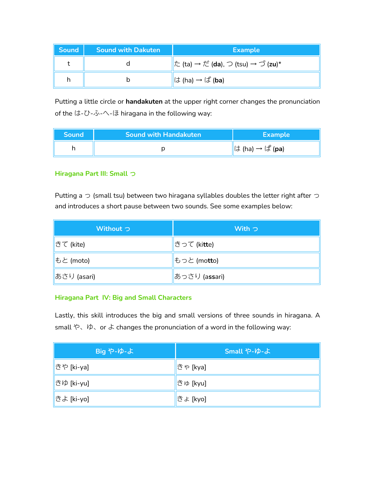| Sound | <b>Sound with Dakuten</b> | <b>Example</b>                     |
|-------|---------------------------|------------------------------------|
|       |                           | た (ta) → だ (da), つ (tsu) → づ (zu)* |
|       |                           | は (ha) → ば ( <b>ba</b> )           |

Putting a little circle or **handakuten** at the upper right corner changes the pronunciation of the は-ひ-ふ-へ-ほ hiragana in the following way:

| <b>Sound</b> | <b>Sound with Handakuten</b> | <b>Example</b>                                                    |
|--------------|------------------------------|-------------------------------------------------------------------|
|              |                              | $\parallel$ ( $\downarrow$ (ha) $\rightarrow$ ( $\downarrow$ (pa) |

# **Hiragana Part III: Small** っ

Putting a  $\supset$  (small tsu) between two hiragana syllables doubles the letter right after  $\supset$ and introduces a short pause between two sounds. See some examples below:

| Without つ    | With $\supset$          |
|--------------|-------------------------|
| きて (kite)    | きって (ki <b>tt</b> e)    |
| もと (moto)    | もっと (mo <b>tt</b> o)    |
| ∦あさり (asari) | ∥あっさり (a <b>ss</b> ari) |

#### **Hiragana Part IV: Big and Small Characters**

Lastly, this skill introduces the big and small versions of three sounds in hiragana. A small や、ゆ、or よ changes the pronunciation of a word in the following way:

| Big や-ゆ-よ  | Small や-ゆ-よ |
|------------|-------------|
| きや [ki-ya] | ∥きゃ [kya]   |
| きゆ [ki-yu] | きゅ [kyu]    |
| きよ [ki-yo] | きょ [kyo]    |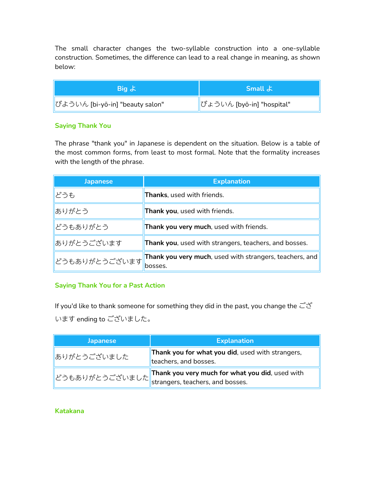The small character changes the two-syllable construction into a one-syllable construction. Sometimes, the difference can lead to a real change in meaning, as shown below:

| Big よ                           | <b>Small &amp;</b>        |
|---------------------------------|---------------------------|
| びよういん [bi-yō-in] "beauty salon" | びょういん [byō-in] "hospital" |

# **Saying Thank You**

The phrase "thank you" in Japanese is dependent on the situation. Below is a table of the most common forms, from least to most formal. Note that the formality increases with the length of the phrase.

| <b>Japanese</b>                            | <b>Explanation</b>                                                         |
|--------------------------------------------|----------------------------------------------------------------------------|
| どうも                                        | <b>Thanks</b> , used with friends.                                         |
| ありがとう                                      | <b>Thank you</b> , used with friends.                                      |
| どうもありがとう                                   | Thank you very much, used with friends.                                    |
| ありがとうございます                                 | Thank you, used with strangers, teachers, and bosses.                      |
| <sup>‼</sup> どうもありがとうございます  <mark> </mark> | <b>Thank you very much</b> , used with strangers, teachers, and<br>bosses. |

# **Saying Thank You for a Past Action**

If you'd like to thank someone for something they did in the past, you change the  $\vec{c}'\vec{c}'$ います ending to ございました。

| <b>Japanese</b> | <b>Explanation</b>                                                                                                                            |
|-----------------|-----------------------------------------------------------------------------------------------------------------------------------------------|
| ありがとうございました     | Thank you for what you did, used with strangers,<br>teachers, and bosses.                                                                     |
|                 | Thank you very much for what you did, used with<br>』どうもありがとうございました $\left\Vert \ddot{\mathsf{c}}\right\Vert$ strangers, teachers, and bosses. |

# **Katakana**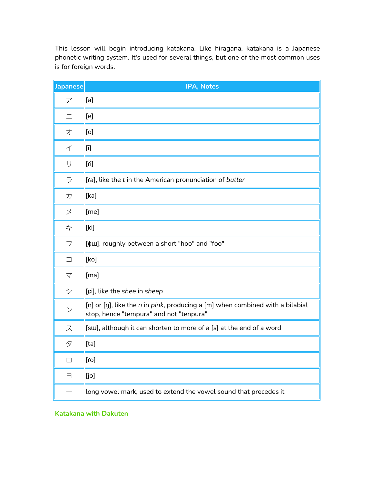This lesson will begin introducing katakana. Like hiragana, katakana is a Japanese phonetic writing system. It's used for several things, but one of the most common uses is for foreign words.

| Japanese      | IPA, Notes                                                                                                                                                                                                                                                                                                                                                                                                                                                                                                                                                                                                                                                         |
|---------------|--------------------------------------------------------------------------------------------------------------------------------------------------------------------------------------------------------------------------------------------------------------------------------------------------------------------------------------------------------------------------------------------------------------------------------------------------------------------------------------------------------------------------------------------------------------------------------------------------------------------------------------------------------------------|
| ア             | [a]                                                                                                                                                                                                                                                                                                                                                                                                                                                                                                                                                                                                                                                                |
| 工             | [e]                                                                                                                                                                                                                                                                                                                                                                                                                                                                                                                                                                                                                                                                |
| 才             | [0]                                                                                                                                                                                                                                                                                                                                                                                                                                                                                                                                                                                                                                                                |
| 亻             | $[$                                                                                                                                                                                                                                                                                                                                                                                                                                                                                                                                                                                                                                                                |
| IJ            | $[$ i]                                                                                                                                                                                                                                                                                                                                                                                                                                                                                                                                                                                                                                                             |
| ラ             | [ra], like the t in the American pronunciation of butter                                                                                                                                                                                                                                                                                                                                                                                                                                                                                                                                                                                                           |
| 力             | [ka]                                                                                                                                                                                                                                                                                                                                                                                                                                                                                                                                                                                                                                                               |
| $\times$      | [me]                                                                                                                                                                                                                                                                                                                                                                                                                                                                                                                                                                                                                                                               |
| キ             | $[ki] % \begin{center} % \includegraphics[width=\linewidth]{imagesSupplemental_3.png} % \end{center} % \caption { % \textit{DefNet} of the \textit{DefNet} dataset. % Note that the \textit{DefNet} and \textit{DefNet} dataset. % Note that the \textit{DefNet} and \textit{DefNet} dataset. % Note that the \textit{DefNet} and \textit{DefNet} dataset. % Note that the \textit{DefNet} and \textit{DefNet} dataset. % Note that the \textit{DefNet} and \textit{DefNet} dataset. % Note that the \textit{DefNet} and \textit{DefNet} dataset. % Note that the \textit{DefNet} and \textit{DefNet} dataset. % Note that the \textit{DefNet} and \textit{DefNet$ |
| フ             | [ $\phi$ w], roughly between a short "hoo" and "foo"                                                                                                                                                                                                                                                                                                                                                                                                                                                                                                                                                                                                               |
| $\Box$        | [ko]                                                                                                                                                                                                                                                                                                                                                                                                                                                                                                                                                                                                                                                               |
| マ             | [ma]                                                                                                                                                                                                                                                                                                                                                                                                                                                                                                                                                                                                                                                               |
| シ             | [ci], like the shee in sheep                                                                                                                                                                                                                                                                                                                                                                                                                                                                                                                                                                                                                                       |
| $\mathcal{V}$ | [n] or [ŋ], like the n in pink, producing a [m] when combined with a bilabial<br>stop, hence "tempura" and not "tenpura"                                                                                                                                                                                                                                                                                                                                                                                                                                                                                                                                           |
| ス             | [sw], although it can shorten to more of a [s] at the end of a word                                                                                                                                                                                                                                                                                                                                                                                                                                                                                                                                                                                                |
| タ             | $[ta]$                                                                                                                                                                                                                                                                                                                                                                                                                                                                                                                                                                                                                                                             |
| $\Box$        | [ro]                                                                                                                                                                                                                                                                                                                                                                                                                                                                                                                                                                                                                                                               |
| $\equiv$      | [jo]                                                                                                                                                                                                                                                                                                                                                                                                                                                                                                                                                                                                                                                               |
|               | long vowel mark, used to extend the vowel sound that precedes it                                                                                                                                                                                                                                                                                                                                                                                                                                                                                                                                                                                                   |

**Katakana with Dakuten**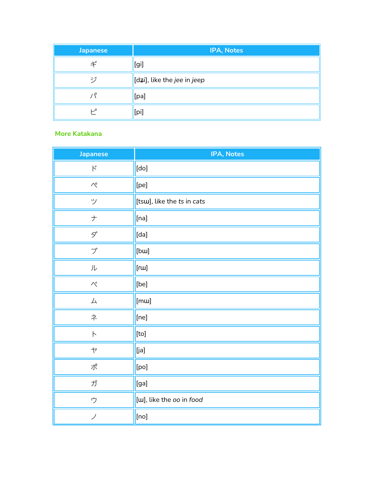| <b>Japanese</b>   | IPA, Notes                  |
|-------------------|-----------------------------|
| ギ                 | [gi]                        |
| ジ                 | [dzi], like the jee in jeep |
| $\Lambda^{\circ}$ | [pa]                        |
| ٯ                 | [pi]                        |

# **More Katakana**

| <b>Japanese</b>                       | IPA, Notes                 |
|---------------------------------------|----------------------------|
| $\boldsymbol{\kappa}$                 | [do]                       |
| $\curvearrowright^{\circ}$            | [pe]                       |
| ツ                                     | [tsw], like the ts in cats |
| $\hspace{0.025cm}$ $\hspace{0.025cm}$ | [na]                       |
| $\mathcal{S}^*$                       | [da]                       |
| ブ                                     | [bw]                       |
| 儿                                     | [ru]                       |
| $\curvearrowright^*$                  | [be]                       |
| 厶                                     | [mɯ]                       |
| ネ                                     | [ne]                       |
| $\ensuremath{\mathop{\not{\vdash}}}$  | [to]                       |
| $\ensuremath{\mathsf{t}}$             | [ia]                       |
| ポ                                     | [po]                       |
| ガ                                     | [ga]                       |
| ウ                                     | [w], like the oo in food   |
| ノ                                     | [no]                       |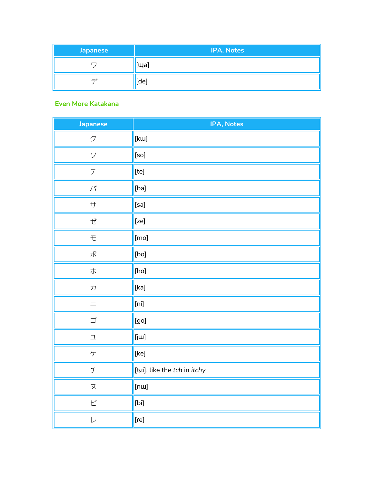| <b>Japanese</b> | <b>IPA, Notes</b> |
|-----------------|-------------------|
|                 | $[$ <sup>[</sup>  |
| $-$ "           | [de]              |

#### **Even More Katakana**

| <b>Japanese</b>                                                                           | IPA, Notes                   |
|-------------------------------------------------------------------------------------------|------------------------------|
| ク                                                                                         | [kɯ]                         |
| ソ                                                                                         | [so]                         |
| $\bar{\mathcal{T}}$                                                                       | [te]                         |
| $\lambda_{\ell}$                                                                          | [ba]                         |
| $\ensuremath{\mathop{\not{\hspace{1pt}\mathrm{+}}}\mathop{\not{\hspace{1pt}\mathrm{+}}}}$ | [sa]                         |
| ぜ                                                                                         |                              |
| $\pm$                                                                                     | $[$ mo]                      |
| ポ                                                                                         | [bo]                         |
| 朩                                                                                         | [ho]                         |
| $\cal D$                                                                                  | [ka]                         |
| $\equiv$                                                                                  | $[n]n$                       |
|                                                                                           | [go]                         |
| $\mathfrak{\text{I}}$                                                                     | $[i\omega]$                  |
| $\sqrt{T}$                                                                                | [ke]                         |
| $\neq$                                                                                    | [tɕi], like the tch in itchy |
| $\gtrsim$                                                                                 | [ <sub>nu</sub> ]            |
| $\mathsf{L}^{\!\scriptscriptstyle\mathrm{v}}$                                             | [bi]                         |
| $\overline{\phantom{a}}$                                                                  | [re]                         |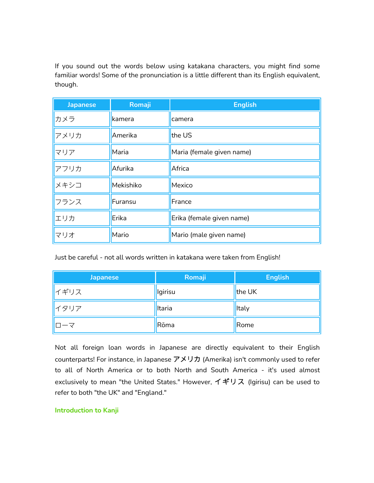If you sound out the words below using katakana characters, you might find some familiar words! Some of the pronunciation is a little different than its English equivalent, though.

| <b>Japanese</b> | Romaji    | <b>English</b>            |
|-----------------|-----------|---------------------------|
| カメラ             | kamera    | camera                    |
| アメリカ            | Amerika   | the US                    |
| マリア             | Maria     | Maria (female given name) |
| アフリカ            | Afurika   | Africa                    |
| メキシコ            | Mekishiko | Mexico                    |
| フランス            | Furansu   | France                    |
| エリカ             | Erika     | Erika (female given name) |
| マリオ             | Mario     | Mario (male given name)   |

Just be careful - not all words written in katakana were taken from English!

| Japanese                 | Romaji  | <b>English</b> |
|--------------------------|---------|----------------|
| ┃イギリス                    | lgirisu | the UK         |
| ┃イタリア                    | Itaria  | <b>Italy</b>   |
| $\Box - \overline{\vee}$ | Rōma    | Rome           |

Not all foreign loan words in Japanese are directly equivalent to their English counterparts! For instance, in Japanese アメリカ (Amerika) isn't commonly used to refer to all of North America or to both North and South America - it's used almost exclusively to mean "the United States." However, イギリス (Igirisu) can be used to refer to both "the UK" and "England."

#### **Introduction to Kanji**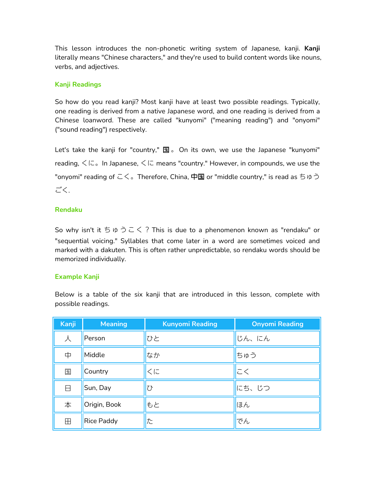This lesson introduces the non-phonetic writing system of Japanese, kanji. **Kanji** literally means "Chinese characters," and they're used to build content words like nouns, verbs, and adjectives.

### **Kanji Readings**

So how do you read kanji? Most kanji have at least two possible readings. Typically, one reading is derived from a native Japanese word, and one reading is derived from a Chinese loanword. These are called "kunyomi" ("meaning reading") and "onyomi" ("sound reading") respectively.

Let's take the kanji for "country,"  $\mathbb{E}$  . On its own, we use the Japanese "kunyomi" reading, くに。In Japanese, くに means "country." However, in compounds, we use the "onyomi" reading of こく。Therefore, China, 中国 or "middle country," is read as ちゅう ごく.

#### **Rendaku**

So why isn't it  $5 \, \phi \supseteq 7$  This is due to a phenomenon known as "rendaku" or "sequential voicing." Syllables that come later in a word are sometimes voiced and marked with a dakuten. This is often rather unpredictable, so rendaku words should be memorized individually.

# **Example Kanji**

Below is a table of the six kanji that are introduced in this lesson, complete with possible readings.

| <b>Kanji</b>      | <b>Meaning</b>    | <b>Kunyomi Reading</b> | <b>Onyomi Reading</b> |
|-------------------|-------------------|------------------------|-----------------------|
| 人                 | Person            | ひと                     | じん、にん                 |
| 中                 | Middle            | なか                     | ちゅう                   |
| 国                 | Country           | くに                     | こく                    |
| Η                 | Sun, Day          | U                      | にち、じつ                 |
| 本                 | Origin, Book      | もと                     | ほん                    |
| $\mathop\boxplus$ | <b>Rice Paddy</b> | た                      | でん                    |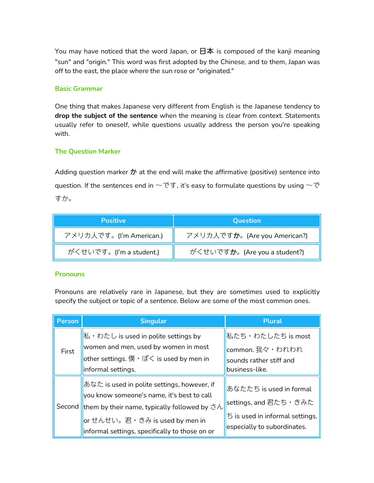You may have noticed that the word Japan, or  $\boxdot \Phi$  is composed of the kanji meaning "sun" and "origin." This word was first adopted by the Chinese, and to them, Japan was off to the east, the place where the sun rose or "originated."

#### **Basic Grammar**

One thing that makes Japanese very different from English is the Japanese tendency to **drop the subject of the sentence** when the meaning is clear from context. Statements usually refer to oneself, while questions usually address the person you're speaking with.

#### **The Question Marker**

Adding question marker  $\dot{\mathcal{D}}$  at the end will make the affirmative (positive) sentence into question. If the sentences end in  $\sim$ です, it's easy to formulate questions by using  $\sim$ で すか。

| <b>Positive</b>         | <b>Question</b>                       |
|-------------------------|---------------------------------------|
| アメリカ人です。(I'm American.) | アメリカ人です <b>か</b> 。(Are you American?) |
| がくせいです。(I'm a student.) | がくせいです <b>か</b> 。(Are you a student?) |

#### **Pronouns**

Pronouns are relatively rare in Japanese, but they are sometimes used to explicitly specify the subject or topic of a sentence. Below are some of the most common ones.

| Person | <b>Singular</b>                                                   | <b>Plural</b>                                |
|--------|-------------------------------------------------------------------|----------------------------------------------|
|        | $\mathbb{R} \cdot \mathbb{R}$ is used in polite settings by       | 私たち・わたしたち is most                            |
| First  | women and men, used by women in most                              | common. 我々・われわれ                              |
|        | other settings. $\sharp \cdot \sharp \prec$ is used by men in     | sounds rather stiff and                      |
|        | informal settings.                                                | business-like.                               |
|        | あなた is used in polite settings, however, if                       | あなたたち is used in formal                      |
|        | you know someone's name, it's best to call                        |                                              |
|        | Second them by their name, typically followed by $\dot{\sigma} h$ | settings, and 君たち・きみた                        |
|        | or せんせい。君・きみ is used by men in                                    | $\overline{5}$ is used in informal settings, |
|        | informal settings, specifically to those on or                    | especially to subordinates.                  |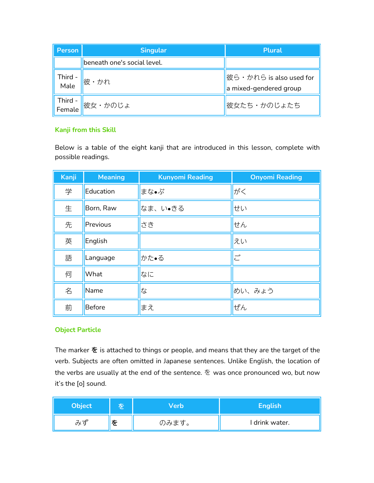| Person          | <b>Singular</b>             | <b>Plural</b>                                                     |
|-----------------|-----------------------------|-------------------------------------------------------------------|
|                 | beneath one's social level. |                                                                   |
| - Third<br>Male | 彼・かれ                        | $\frac{1}{100}$ 彼ら・かれら is also used for<br>a mixed-gendered group |
|                 | Third - <sub>彼女・かのじょ</sub>  | 彼女たち・かのじょたち                                                       |

# **Kanji from this Skill**

Below is a table of the eight kanji that are introduced in this lesson, complete with possible readings.

| Kanji | <b>Meaning</b> | <b>Kunyomi Reading</b> | <b>Onyomi Reading</b> |
|-------|----------------|------------------------|-----------------------|
| 学     | Education      | まな•ぶ                   | がく                    |
| 生     | Born, Raw      | なま、い●きる                | せい                    |
| 先     | Previous       | さき                     | せん                    |
| 英     | English        |                        | えい                    |
| 語     | Language       | かた•る                   | $\overline{C}^*$      |
| 何     | What           | なに                     |                       |
| 名     | Name           | な                      | めい、みょう                |
| 前     | Before         | まえ                     | ぜん                    |

# **Object Particle**

The marker  $\bar{\mathbf{\hat{z}}}$  is attached to things or people, and means that they are the target of the verb. Subjects are often omitted in Japanese sentences. Unlike English, the location of the verbs are usually at the end of the sentence.  $\tilde{\mathcal{E}}$  was once pronounced wo, but now it's the [o] sound.

| <b>Object</b> |   | /erb  | English        |
|---------------|---|-------|----------------|
| 7.7<br>o×     | を | のみます。 | I drink water. |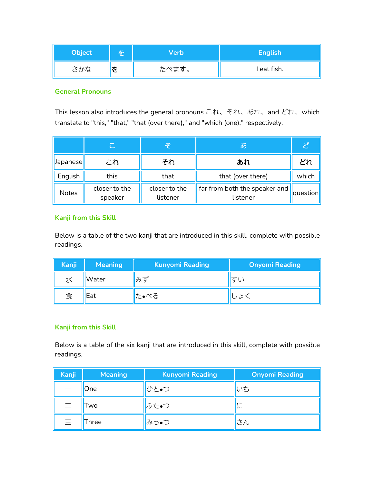| <b>Object</b> |   | Verb  | <b>English</b> |
|---------------|---|-------|----------------|
| さかな           | を | たべます。 | I eat fish.    |

#### **General Pronouns**

This lesson also introduces the general pronouns これ、それ、あれ、and どれ、which translate to "this," "that," "that (over there)," and "which (one)," respectively.

|              | $\overline{C}$           | そ                         | lØ)                                                     |          |
|--------------|--------------------------|---------------------------|---------------------------------------------------------|----------|
| Japanese     | これ                       | それ                        | あれ                                                      | どれ       |
| English      | this                     | that                      | that (over there)                                       | which    |
| <b>Notes</b> | closer to the<br>speaker | closer to the<br>listener | $\frac{1}{2}$ far from both the speaker and<br>listener | question |

#### **Kanji from this Skill**

Below is a table of the two kanji that are introduced in this skill, complete with possible readings.

| Kanji | <b>Meaning</b> | <b>Kunyomi Reading</b> | <b>Onyomi Reading</b> |
|-------|----------------|------------------------|-----------------------|
| 水     | Water          | ゙゙゙゙ゕ゙ず゙               | すい                    |
| 食     | Eat            | た•べる                   | しよ                    |

# **Kanji from this Skill**

Below is a table of the six kanji that are introduced in this skill, complete with possible readings.

| <b>Kanji</b>             | <b>Meaning</b> | <b>Kunyomi Reading</b> | <b>Onyomi Reading</b> |
|--------------------------|----------------|------------------------|-----------------------|
|                          | One            | ひと•つ                   | いち                    |
| $\overline{\phantom{0}}$ | Two            | ふた•つ                   | -<br>اڪ               |
| $\equiv$                 | Three          | みつ•つ                   | さん                    |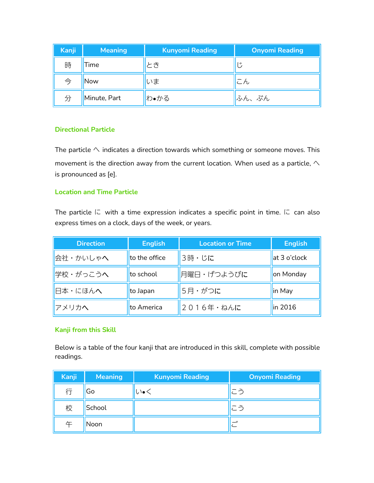| <b>Kanji</b>  | <b>Meaning</b> | <b>Kunyomi Reading</b> | <b>Onyomi Reading</b>          |
|---------------|----------------|------------------------|--------------------------------|
| 時             | l ime.         | とき                     | ₩                              |
| $\Rightarrow$ | Now            | いま                     | $\overline{\phantom{m}}$<br>しん |
| 分             | Minute, Part   | わ•かる                   | ふん、ぶん                          |

#### **Directional Particle**

The particle  $\wedge$  indicates a direction towards which something or someone moves. This movement is the direction away from the current location. When used as a particle,  $\land$ is pronounced as [e].

#### **Location and Time Particle**

The particle  $\Box$  with a time expression indicates a specific point in time.  $\Box$  can also express times on a clock, days of the week, or years.

| <b>Direction</b> | <b>English</b> | <b>Location or Time</b> | <b>English</b> |
|------------------|----------------|-------------------------|----------------|
| ■会社・かいしゃへ        | to the office  | 3時・じに                   | at 3 o'clock   |
| 学校・がっこうへ         | to school      | 月曜日・げつようびに              | on Monday      |
| 日本・にほんへ          | to Japan       | 5月・がつに                  | in May         |
| アメリカヘ            | to America     | 2016年 · ねんに             | in 2016        |

# **Kanji from this Skill**

Below is a table of the four kanji that are introduced in this skill, complete with possible readings.

| Kanji | <b>Meaning</b> | <b>Kunyomi Reading</b> | <b>Onyomi Reading</b> |
|-------|----------------|------------------------|-----------------------|
| 行     | Go             | ∪∖∙く                   | こう                    |
| 校     | School         |                        | こう                    |
| 午     | Noon           |                        | $-$ "                 |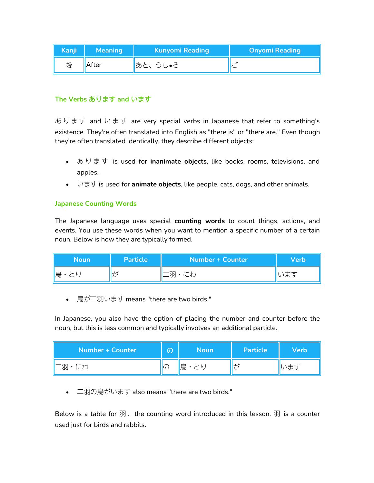| <sup> </sup> Kanji | <b>Meaning</b> | <b>Kunyomi Reading</b> | <b>Onyomi Reading</b> |
|--------------------|----------------|------------------------|-----------------------|
| 後                  | After          | あと、うし•ろ                | ーッ<br>◡               |

# **The Verbs** あります **and** います

あ り ま す and い ま す are very special verbs in Japanese that refer to something's existence. They're often translated into English as "there is" or "there are." Even though they're often translated identically, they describe different objects:

- **•** あります is used for **inanimate objects**, like books, rooms, televisions, and apples.
- います is used for **animate objects**, like people, cats, dogs, and other animals.

# **Japanese Counting Words**

The Japanese language uses special **counting words** to count things, actions, and events. You use these words when you want to mention a specific number of a certain noun. Below is how they are typically formed.

| <b>Noun</b> | Particle | <b>Number + Counter</b> | <b>Verb</b> |
|-------------|----------|-------------------------|-------------|
| ll鳥<br>◡    | ∦が       | 二羽<br>$1 - 4$<br>しんイノ   | ᆂ≭<br>いより   |

• 鳥が二羽います means "there are two birds."

In Japanese, you also have the option of placing the number and counter before the noun, but this is less common and typically involves an additional particle.

| Number + Counter | $\sqrt{2}$<br>w   | <b>Noun</b> | Particle | <b>Verb</b> |
|------------------|-------------------|-------------|----------|-------------|
| ┃二羽・にわ           | $\sqrt{2}$<br>リリン | 鳥<br>とり     | ゖ゚       | います         |

• 二羽の鳥がいます also means "there are two birds."<br>Below is a table for 羽、the counting word introduced in this lesson. 羽 is a counter used just for birds and rabbits.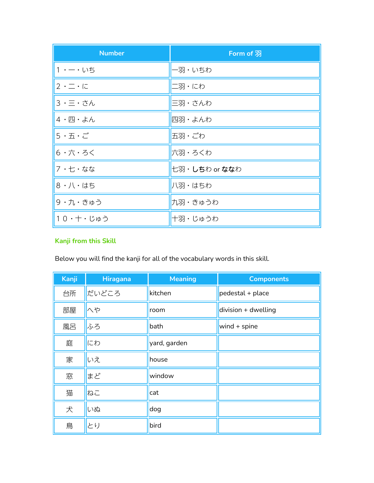| <b>Number</b>       | Form of $\overline{\mathfrak{B}}$ |
|---------------------|-----------------------------------|
| 1 · 一 · いち          | ー羽・いちわ                            |
| $2 \cdot 7 \cdot 7$ | 二羽・にわ                             |
| 3 · 三 · さん          | 三羽・さんわ                            |
| 4 ・四・よん             | 四羽・よんわ                            |
| $5 \cdot 5 \cdot 5$ | 五羽・ごわ                             |
| 6 ・六・ろく             | 六羽・ろくわ                            |
| 7 ・七・なな             | 七羽・しちわ or ななわ                     |
| 8 · 八 · はち          | 八羽・はちわ                            |
| 9 · 九 · きゅう         | 九羽・きゅうわ                           |
| 10 · 十 · じゅう        | 十羽・じゅうわ                           |

# **Kanji from this Skill**

Below you will find the kanji for all of the vocabulary words in this skill.

| Kanji | <b>Hiragana</b> | <b>Meaning</b> | <b>Components</b>     |
|-------|-----------------|----------------|-----------------------|
| 台所    | だいどころ           | kitchen        | pedestal + place      |
| 部屋    | $\wedge$ や      | room           | $division + dwelling$ |
| 風呂    | ふろ              | bath           | wind $+$ spine        |
| 庭     | にわ              | yard, garden   |                       |
| 家     | いえ              | house          |                       |
| 窓     | まど              | window         |                       |
| 猫     | ねこ              | cat            |                       |
| 犬     | いぬ              | dog            |                       |
| 鳥     | とり              | bird           |                       |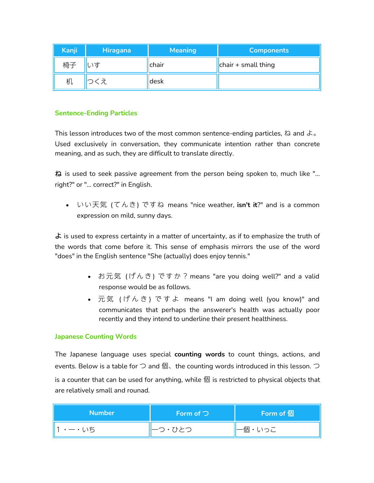| Kanji <sub> </sub> | <b>Hiragana</b> | <b>Meaning</b> | <b>Components</b>                      |
|--------------------|-----------------|----------------|----------------------------------------|
| 椅子                 |                 | chair          | $\left\  \right\ $ chair + small thing |
| 机                  | くえ              | ldesk          |                                        |

### **Sentence-Ending Particles**

This lesson introduces two of the most common sentence-ending particles, ね and よ。 Used exclusively in conversation, they communicate intention rather than concrete meaning, and as such, they are difficult to translate directly.

ね is used to seek passive agreement from the person being spoken to, much like "... right?" or "... correct?" in English.

 いい天気 (てんき) ですね means "nice weather, **isn't it**?" and is a common expression on mild, sunny days.

 $\pm$  is used to express certainty in a matter of uncertainty, as if to emphasize the truth of the words that come before it. This sense of emphasis mirrors the use of the word "does" in the English sentence "She (actually) does enjoy tennis."

- お元気 (げんき) ですか? means "are you doing well?" and a valid response would be as follows.
- 元気 (げんき) ですよ means "I am doing well (you know)" and communicates that perhaps the answerer's health was actually poor recently and they intend to underline their present healthiness.

#### **Japanese Counting Words**

The Japanese language uses special **counting words** to count things, actions, and events. Below is a table for  $\supset$  and 個、the counting words introduced in this lesson.  $\supset$ is a counter that can be used for anything, while 個 is restricted to physical objects that are relatively small and rounad.

| <b>Number</b> | Form of $\supset$ | Form of $f$ $\mathbb{B}$ |
|---------------|-------------------|--------------------------|
| ・一・いち         | ┃一つ・ひとつ           | ┃一個・いっこ                  |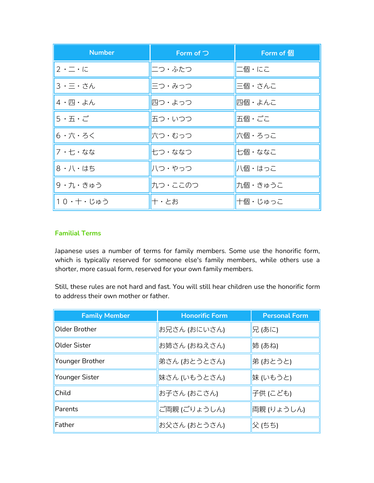| <b>Number</b>       | Form of $\supset$ | Form of 個 |
|---------------------|-------------------|-----------|
| $2 \cdot 7 \cdot 7$ | ニつ・ふたつ            | 二個・にこ     |
| 3・三・さん              | 三つ・みっつ            | 三個・さんこ    |
| 4 ・四・よん             | 四つ・よっつ            | 四個・よんこ    |
| 5・五・ご               | 五つ・いつつ            | 五個・ごこ     |
| 6・六・ろく              | 六つ・むっつ            | 六個・ろっこ    |
| 7・七・なな              | 七つ・ななつ            | 七個・ななこ    |
| 8 ・八・はち             | 八つ・やっつ            | 八個・はっこ    |
| 9・九・きゅう             | 九つ・ここのつ           | 九個・きゅうこ   |
| 10・十・じゅう            | 十・とお              | 十個・じゅっこ   |

# **Familial Terms**

Japanese uses a number of terms for family members. Some use the honorific form, which is typically reserved for someone else's family members, while others use a shorter, more casual form, reserved for your own family members.

Still, these rules are not hard and fast. You will still hear children use the honorific form to address their own mother or father.

| <b>Family Member</b> | <b>Honorific Form</b> | <b>Personal Form</b> |
|----------------------|-----------------------|----------------------|
| Older Brother        | お兄さん (おにいさん)          | 兄 (あに)               |
| Older Sister         | お姉さん (おねえさん)          | 姉 (あね)               |
| Younger Brother      | 弟さん (おとうとさん)          | 弟 (おとうと)             |
| Younger Sister       | 妹さん (いもうとさん)          | 妹 (いもうと)             |
| Child                | お子さん (おこさん)           | 子供 (こども)             |
| Parents              | ご両親 (ごりょうしん)          | 両親 (りょうしん)           |
| Father               | お父さん (おとうさん)          | 父 (ちち)               |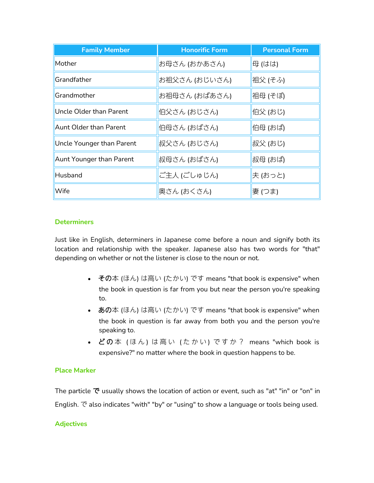| <b>Family Member</b>           | <b>Honorific Form</b> | <b>Personal Form</b> |
|--------------------------------|-----------------------|----------------------|
| Mother                         | お母さん (おかあさん)          | 母 (はは)               |
| Grandfather                    | お祖父さん (おじいさん)         | 祖父 (そふ)              |
| Grandmother                    | お祖母さん (おばあさん)         | 祖母 (そぼ)              |
| <b>Uncle Older than Parent</b> | 伯父さん (おじさん)           | 伯父 (おじ)              |
| <b>Aunt Older than Parent</b>  | 伯母さん (おばさん)           | 伯母 (おば)              |
| Uncle Younger than Parent      | 叔父さん (おじさん)           | 叔父 (おじ)              |
| Aunt Younger than Parent       | 叔母さん (おばさん)           | 叔母 (おば)              |
| Husband                        | ご主人 (ごしゅじん)           | 夫 (おっと)              |
| <b>Wife</b>                    | 奥さん (おくさん)            | 妻 (つま)               |

#### **Determiners**

Just like in English, determiners in Japanese come before a noun and signify both its location and relationship with the speaker. Japanese also has two words for "that" depending on whether or not the listener is close to the noun or not.

- その本 (ほん) は高い (たかい) です means "that book is expensive" when the book in question is far from you but near the person you're speaking to.
- あの本 (ほん) は高い (たかい) です means "that book is expensive" when the book in question is far away from both you and the person you're speaking to.
- どの本 (ほん)は高い (たかい) ですか? means "which book is expensive?" no matter where the book in question happens to be.

# **Place Marker**

The particle  $\tilde{\mathbf{C}}$  usually shows the location of action or event, such as "at" "in" or "on" in English. で also indicates "with" "by" or "using" to show a language or tools being used.

#### **Adjectives**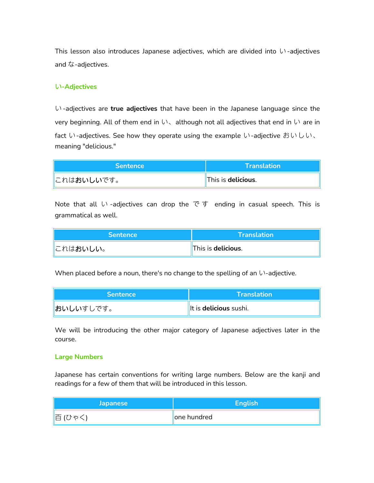This lesson also introduces Japanese adjectives, which are divided into い-adjectives and な-adjectives.

#### い**-Adjectives**

い-adjectives are **true adjectives** that have been in the Japanese language since the very beginning. All of them end in  $\mathfrak{b}$ , although not all adjectives that end in  $\mathfrak{b}$  are in fact い-adjectives. See how they operate using the example い-adjective おいしい、 meaning "delicious."

Note that all い -adjectives can drop the で す ending in casual speech. This is grammatical as well.

| <i><b>Sentence</b></i> | $\Gamma$ Translation $\Gamma$ |
|------------------------|-------------------------------|
| <b>  これはおいしい。</b>      | This is delicious.            |

When placed before a noun, there's no change to the spelling of an  $\mathfrak{b}$ -adjective.

| <b>Sentence</b>  | <b>Translation</b>     |
|------------------|------------------------|
| <b>おいしいすしです。</b> | It is delicious sushi. |

We will be introducing the other major category of Japanese adjectives later in the course.

#### **Large Numbers**

Japanese has certain conventions for writing large numbers. Below are the kanji and readings for a few of them that will be introduced in this lesson.

| <b>Japanese</b> | English      |
|-----------------|--------------|
| "百 (ひゃく         | ∥one hundred |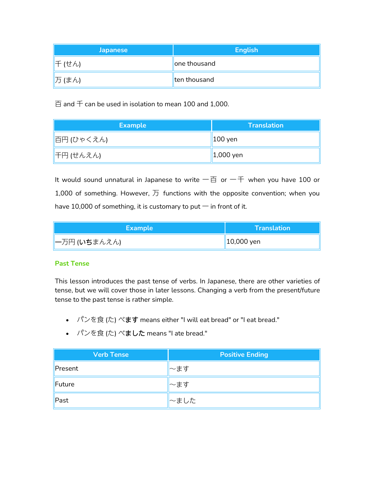| <b>Japanese</b> | <b>English</b> |
|-----------------|----------------|
| 千 (せん)          | one thousand   |
| 万 (まん)          | ten thousand   |

 $\overline{\boxdot}$  and  $\overline{\mathrm{+}}$  can be used in isolation to mean 100 and 1,000.

| <b>Example</b> | <b>Translation</b>  |
|----------------|---------------------|
| 百円 (ひゃくえん)     | $\parallel$ 100 yen |
| 千円 (せんえん)      | $\vert$ 1,000 yen   |

It would sound unnatural in Japanese to write 一百 or 一千 when you have 100 or 1,000 of something. However,  $\overline{D}$  functions with the opposite convention; when you have 10,000 of something, it is customary to put  $-$  in front of it.

| Example       | <b>Translation</b> |
|---------------|--------------------|
| ┃一万円 (いちまんえん) | $\vert$ 10,000 yen |

# **Past Tense**

This lesson introduces the past tense of verbs. In Japanese, there are other varieties of tense, but we will cover those in later lessons. Changing a verb from the present/future tense to the past tense is rather simple.

- パンを食 (た) べます means either "I will eat bread" or "I eat bread."
- パンを食 (た) べました means "I ate bread."

| <b>Verb Tense</b> | <b>Positive Ending</b> |
|-------------------|------------------------|
| Present           | ~ます                    |
| Future            | ⊩~ます                   |
| Past              | │〜ました                  |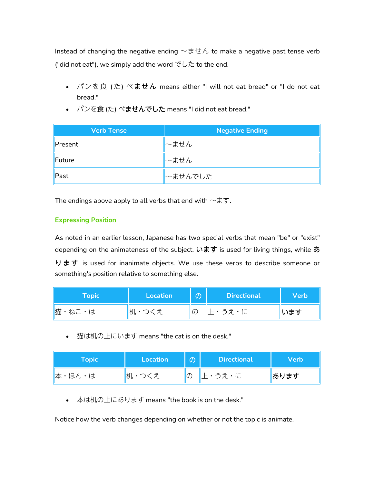Instead of changing the negative ending  $\sim \pm t \hbar$  to make a negative past tense verb ("did not eat"), we simply add the word  $\mathcal{O}\cup\mathcal{L}$  to the end.

- パンを食 (た) べません means either "I will not eat bread" or "I do not eat bread."
- パンを食 (た) べませんでした means "I did not eat bread."

| <b>Verb Tense</b> | <b>Negative Ending</b> |
|-------------------|------------------------|
| Present           | ~ません                   |
| Future            | ~ません                   |
| Past              | ∼ませんでした                |

The endings above apply to all verbs that end with  $\sim$ ます.

# **Expressing Position**

As noted in an earlier lesson, Japanese has two special verbs that mean "be" or "exist" depending on the animateness of the subject. います is used for living things, while あ ります is used for inanimate objects. We use these verbs to describe someone or something's position relative to something else.

| Topic  | <b>Location</b> | $\mathcal{O}$ | <b>Directional</b> | <b>Verb</b> |
|--------|-----------------|---------------|--------------------|-------------|
| 猫・ねこ・は | 机・つくえ<br>ヽノㄴ    | $ O\rangle$   | 上・うえ・に             | います         |

● 猫は机の上にいます means "the cat is on the desk."

| ${\sf Topic}$ | Location | $\mathcal{O}$  | <b>Directional</b> | Verb |
|---------------|----------|----------------|--------------------|------|
| 本・ほん・は        | 机・つくえ    | $\overline{O}$ | 上・うえ・に             | あります |

本は机の上にあります means "the book is on the desk."

Notice how the verb changes depending on whether or not the topic is animate.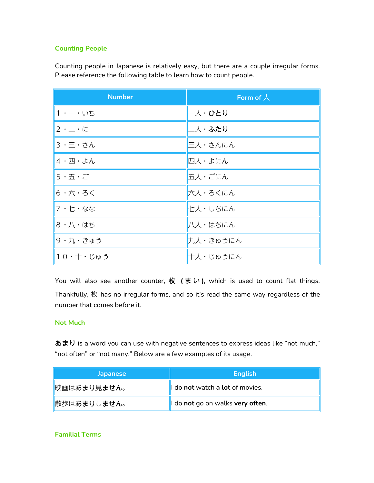# **Counting People**

Counting people in Japanese is relatively easy, but there are a couple irregular forms. Please reference the following table to learn how to count people.

| <b>Number</b>                             | Form of $\lambda$ |
|-------------------------------------------|-------------------|
| 1 ・ ー・いち                                  | 一人・ひとり            |
| $ 2 \cdot - \cdot  $                      | 二人・ふたり            |
| 3・三・さん                                    | 三人・さんにん           |
| 4.四・よん                                    | 四人・よにん            |
| $5 \cdot \overline{A} \cdot \overline{C}$ | 五人・ごにん            |
| 6・六・ろく                                    | 六人・ろくにん           |
| 7・七・なな                                    | 七人・しちにん           |
| 8・八・はち                                    | 八人・はちにん           |
| 9・九・きゅう                                   | 九人・きゅうにん          |
| 10・十・じゅう                                  | 十人・じゅうにん          |

You will also see another counter, 枚 (まい), which is used to count flat things. Thankfully, 枚 has no irregular forms, and so it's read the same way regardless of the number that comes before it.

#### **Not Much**

あまり is a word you can use with negative sentences to express ideas like "not much," "not often" or "not many." Below are a few examples of its usage.

| <b>Japanese</b>      | <b>English</b>                   |
|----------------------|----------------------------------|
| 映画はあまり見ません。          | I do not watch a lot of movies.  |
| <b>  散歩はあまりしません。</b> | I do not go on walks very often. |

# **Familial Terms**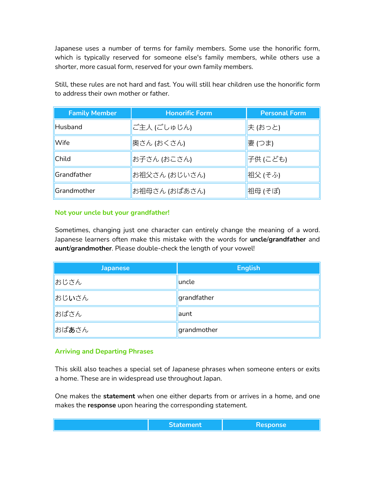Japanese uses a number of terms for family members. Some use the honorific form, which is typically reserved for someone else's family members, while others use a shorter, more casual form, reserved for your own family members.

| <b>Family Member</b> | <b>Honorific Form</b> | <b>Personal Form</b> |
|----------------------|-----------------------|----------------------|
| Husband              | ご主人 (ごしゅじん)           | 夫 (おっと)              |
| Wife                 | 奥さん (おくさん)            | 妻 (つま)               |
| Child                | お子さん (おこさん)           | 子供 (こども)             |
| Grandfather          | お祖父さん (おじいさん)         | 祖父 (そふ)              |
| Grandmother          | お祖母さん (おばあさん)         | 祖母 (そぼ)              |

Still, these rules are not hard and fast. You will still hear children use the honorific form to address their own mother or father.

#### **Not your uncle but your grandfather!**

Sometimes, changing just one character can entirely change the meaning of a word. Japanese learners often make this mistake with the words for **uncle**/**grandfather** and **aunt**/**grandmother**. Please double-check the length of your vowel!

| <b>Japanese</b> | <b>English</b> |
|-----------------|----------------|
| おじさん            | uncle          |
| おじいさん           | grandfather    |
| おばさん            | launt          |
| おばあさん           | grandmother    |

#### **Arriving and Departing Phrases**

This skill also teaches a special set of Japanese phrases when someone enters or exits a home. These are in widespread use throughout Japan.

One makes the **statement** when one either departs from or arrives in a home, and one makes the **response** upon hearing the corresponding statement.

| مستستنا المتعادل<br>----------------- |
|---------------------------------------|
|---------------------------------------|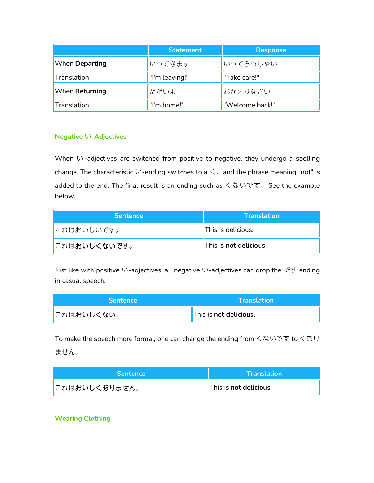|                | <b>Statement</b> | <b>Response</b> |
|----------------|------------------|-----------------|
| When Departing | いってきます           | いってらっしゃい        |
| Translation    | "I'm leaving!"   | "Take care!"    |
| When Returning | ただいま             | おかえりなさい         |
| Translation    | "I'm home!"      | "Welcome back!" |

### **Negative** い**-Adjectives**

When  $\mathfrak{b}$  -adjectives are switched from positive to negative, they undergo a spelling change. The characteristic  $\cup$ -ending switches to a  $\leq$  and the phrase meaning "not" is added to the end. The final result is an ending such as くないです。See the example below.

| <b>Sentence</b>       | <b>Translation</b>     |
|-----------------------|------------------------|
| ∥これはおいしいです。           | This is delicious.     |
| <b>  これはおいしくないです。</b> | This is not delicious. |

Just like with positive い-adjectives, all negative い-adjectives can drop the です ending in casual speech.

| <b>Sentence</b>              | <b>\Translation\</b>    |
|------------------------------|-------------------------|
| <u>  </u> これは <b>おいしくない。</b> | 'This is not delicious. |

To make the speech more formal, one can change the ending from くないです to くあり ません。

| <b>Sentence</b>        | <b>\Translation\</b>   |
|------------------------|------------------------|
| <b>  これはおいしくありません。</b> | This is not delicious. |

# **Wearing Clothing**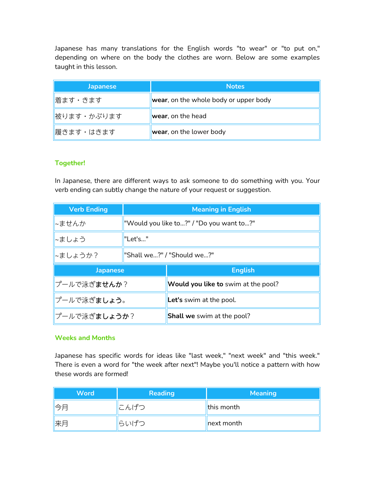Japanese has many translations for the English words "to wear" or "to put on," depending on where on the body the clothes are worn. Below are some examples taught in this lesson.

| <b>Japanese</b> | <b>Notes</b>                          |
|-----------------|---------------------------------------|
| 着ます・きます         | wear, on the whole body or upper body |
| 被ります・かぶります      | wear, on the head                     |
| 履きます・はきます       | wear, on the lower body               |

# **Together!**

In Japanese, there are different ways to ask someone to do something with you. Your verb ending can subtly change the nature of your request or suggestion.

| <b>Verb Ending</b>           | <b>Meaning in English</b>  |                                          |  |
|------------------------------|----------------------------|------------------------------------------|--|
| ~ませんか                        |                            | "Would you like to?" / "Do you want to?" |  |
| ~ましょう                        | "Let's"                    |                                          |  |
| ∼ましょうか?                      | "Shall we?" / "Should we?" |                                          |  |
| <b>Japanese</b>              |                            | <b>English</b>                           |  |
| <i>プールで</i> 泳ぎ <b>ませんか</b> ? |                            | Would you like to swim at the pool?      |  |
| プールで泳ぎましょう。                  |                            | Let's swim at the pool.                  |  |
|                              |                            |                                          |  |

#### **Weeks and Months**

Japanese has specific words for ideas like "last week," "next week" and "this week." There is even a word for "the week after next"! Maybe you'll notice a pattern with how these words are formed!

| <b>Word</b> | <b>Reading</b> | <b>Meaning</b> |
|-------------|----------------|----------------|
| ∥今月         | にんげつ           | this month     |
| 来月          | らいげつ           | next month     |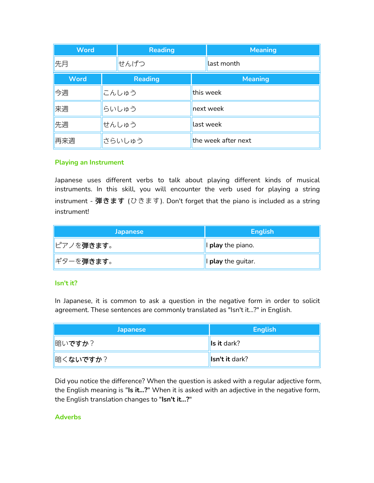| <b>Word</b> | <b>Reading</b> |  | <b>Meaning</b>      |
|-------------|----------------|--|---------------------|
| 先月          | せんげつ           |  | last month          |
| <b>Word</b> | <b>Reading</b> |  | <b>Meaning</b>      |
| 今週          | こんしゅう          |  | this week           |
| 来週          | らいしゅう          |  | next week           |
| 先週          | せんしゅう          |  | last week           |
| 再来週         | さらいしゅう         |  | the week after next |

# **Playing an Instrument**

Japanese uses different verbs to talk about playing different kinds of musical instruments. In this skill, you will encounter the verb used for playing a string instrument - 弾きます (ひきます). Don't forget that the piano is included as a string instrument!

| <b>Japanese</b>         | <b>English</b>     |
|-------------------------|--------------------|
| <u>  ピアノを弾きます。</u>      | I play the piano.  |
| <mark> ギターを弾きます。</mark> | I play the guitar. |

#### **Isn't it?**

In Japanese, it is common to ask a question in the negative form in order to solicit agreement. These sentences are commonly translated as "Isn't it...?" in English.

| <b>Japanese</b> | <b>English</b>   |
|-----------------|------------------|
| 临いですか?          | $\ $ ls it dark? |
| 暗くないですか?        | Isn't it dark?   |

Did you notice the difference? When the question is asked with a regular adjective form, the English meaning is "**Is it...?**" When it is asked with an adjective in the negative form, the English translation changes to "**Isn't it...?**"

#### **Adverbs**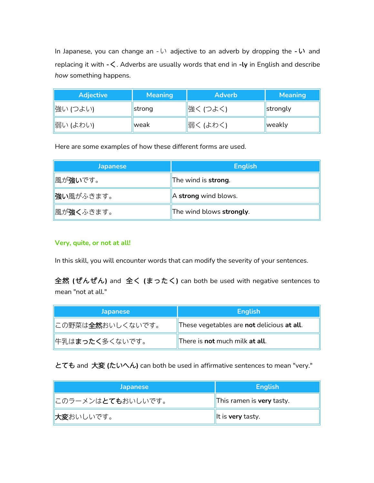In Japanese, you can change an - い adjective to an adverb by dropping the - い and replacing it with **-**く. Adverbs are usually words that end in **-ly** in English and describe *how* something happens.

| <b>Adjective</b> | <b>Meaning</b> | <b>Adverb</b> | <b>Meaning</b> |
|------------------|----------------|---------------|----------------|
| 強い (つよい)         | strong         | 強く (つよく)      | strongly       |
| 弱い (よわい)         | weak           | 弱く (よわく)      | weakly         |

Here are some examples of how these different forms are used.

| <b>Japanese</b>   | <b>English</b>           |
|-------------------|--------------------------|
| 風が強いです。           | The wind is strong.      |
| <b>強い</b> 風がふきます。 | A strong wind blows.     |
| 風が強くふきます。         | The wind blows strongly. |

#### **Very, quite, or not at all!**

In this skill, you will encounter words that can modify the severity of your sentences.

全然 **(**ぜんぜん**)** and 全く **(**まったく**)** can both be used with negative sentences to mean "not at all."

| <b>Japanese</b>           | <b>English</b>                                            |
|---------------------------|-----------------------------------------------------------|
| この野菜は <b>全然</b> おいしくないです。 | These vegetables are <b>not</b> delicious <b>at all</b> . |
| 件乳はまったく多くないです。            | There is <b>not</b> much milk <b>at all</b> .             |

とても and 大変 **(**たいへん**)** can both be used in affirmative sentences to mean "very."

| <b>Japanese</b>            | <b>English</b>            |
|----------------------------|---------------------------|
| このラーメンは <b>とても</b> おいしいです。 | This ramen is very tasty. |
| ■大変おいしいです。                 | It is very tasty.         |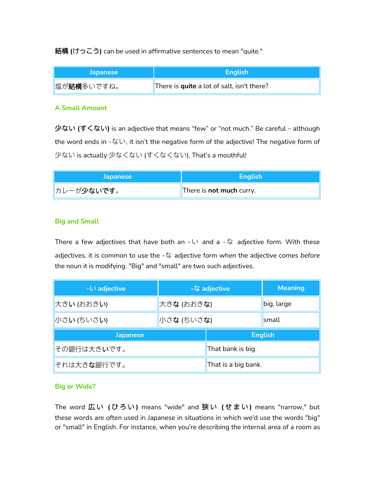結構 **(**けっこう**)** can be used in affirmative sentences to mean "quite."

| <b>Japanese</b>    | <b>English</b>                             |
|--------------------|--------------------------------------------|
| <b>■塩が結構多いですね。</b> | There is quite a lot of salt, isn't there? |

#### **A Small Amount**

少ない **(**すくない**)** is an adjective that means "few" or "not much." Be careful – although the word ends in -ない, it isn't the negative form of the adjective! The negative form of 少ない is actually 少なくない (すくなくない). That's a mouthful!

| <b>Japanese</b>   | <b>English</b>                  |
|-------------------|---------------------------------|
| <b>カレーが少ないです。</b> | There is <b>not much</b> curry. |

# **Big and Small**

There a few adjectives that have both an  $-\cup$  and a  $-\infty$  adjective form. With these adjectives, it is common to use the -な adjective form when the adjective comes *before* the noun it is modifying. "Big" and "small" are two such adjectives.

| $ \cup$ adjective    | -な adjective |                     | <b>Meaning</b> |
|----------------------|--------------|---------------------|----------------|
| 大きい (おおきい)           | 大きな (おおきな)   |                     | big, large     |
| 小さい (ちいさい)           | 小さな (ちいさな)   |                     | small          |
| <b>Japanese</b>      |              | <b>English</b>      |                |
| その銀行は大きいです。          |              | That bank is big.   |                |
| それは大き <b>な</b> 銀行です。 |              | That is a big bank. |                |

#### **Big or Wide?**

The word 広 い **(** ひ ろ い **)** means "wide" and 狭 い **(** せ ま い **)** means "narrow," but these words are often used in Japanese in situations in which we'd use the words "big" or "small" in English. For instance, when you're describing the internal area of a room as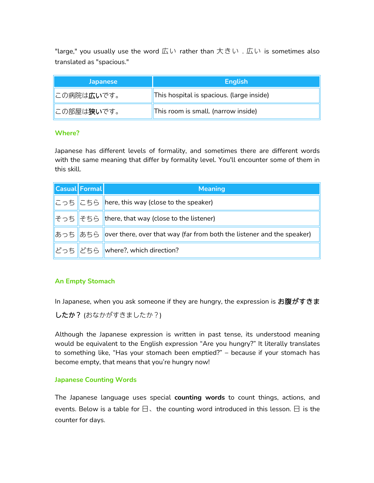"large," you usually use the word 広い rather than 大きい . 広い is sometimes also translated as "spacious."

| <b>Japanese</b>              | <b>English</b>                            |
|------------------------------|-------------------------------------------|
| にの病院は広いです。                   | This hospital is spacious. (large inside) |
| <u>∥</u> この部屋は <b>狭い</b> です。 | This room is small. (narrow inside)       |

#### **Where?**

Japanese has different levels of formality, and sometimes there are different words with the same meaning that differ by formality level. You'll encounter some of them in this skill.

| <b>Casual Formal</b> | <b>Meaning</b>                                                                 |  |
|----------------------|--------------------------------------------------------------------------------|--|
|                      | こっち   こちら   here, this way (close to the speaker)                              |  |
|                      | $\mathcal{F}$ っち $\mathcal{F}$ ちら there, that way (close to the listener)      |  |
|                      | あっち あちら over there, over that way (far from both the listener and the speaker) |  |
|                      | どっち   どちら   where?, which direction?                                           |  |

# **An Empty Stomach**

In Japanese, when you ask someone if they are hungry, the expression is お腹がすきま

したか? (おなかがすきましたか?)

Although the Japanese expression is written in past tense, its understood meaning would be equivalent to the English expression "Are you hungry?" It literally translates to something like, "Has your stomach been emptied?" – because if your stomach has become empty, that means that you're hungry now!

# **Japanese Counting Words**

The Japanese language uses special **counting words** to count things, actions, and events. Below is a table for  $\boxminus$ . the counting word introduced in this lesson.  $\boxminus$  is the counter for days.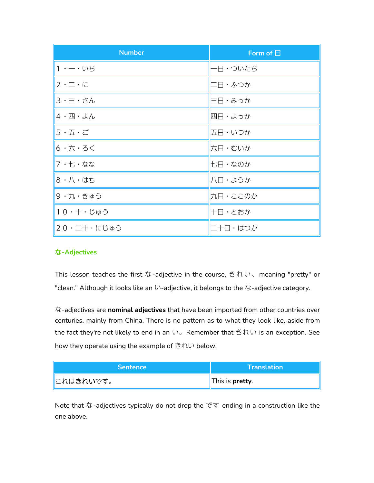| <b>Number</b>       | Form of $\boxminus$ |
|---------------------|---------------------|
| 1・ ー・いち             | 一日・ついたち             |
| $2 \cdot - \cdot 5$ | 二日・ふつか              |
| 3 · 三 · さん          | 三日・みっか              |
| 4・四・よん              | 四日・よっか              |
| 5・五・ご               | 五日・いつか              |
| 6 ・六・ろく             | 六日・むいか              |
| 7・七・なな              | 七日・なのか              |
| 8 · 八 · はち          | 八日・ようか              |
| 9 · 九 · きゅう         | 九日・ここのか             |
| 10・十・じゅう            | 十日・とおか              |
| 20・二十・にじゅう          | 二十日・はつか             |

# な**-Adjectives**

This lesson teaches the first な-adjective in the course, きれい、meaning "pretty" or "clean." Although it looks like an い-adjective, it belongs to the な-adjective category.

な-adjectives are **nominaladjectives** that have been imported from other countries over centuries, mainly from China. There is no pattern as to what they look like, aside from the fact they're not likely to end in an い。Remember that きれい is an exception. See how they operate using the example of  $\dot{\vec{c}}\hbar\vec{c}$  below.

| <b>Sentence</b>             | $\Lambda$ Translation $\nabla$ |
|-----------------------------|--------------------------------|
| <u>∥</u> これは <b>きれい</b> です。 | This is <b>pretty</b> .        |

Note that な-adjectives typically do not drop the です ending in a construction like the one above.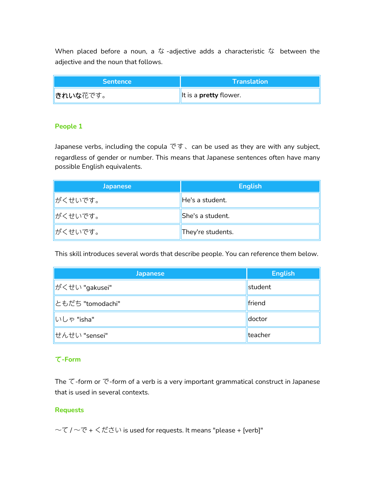When placed before a noun, a  $t\ddot{s}$  -adjective adds a characteristic  $t\ddot{s}$  between the adjective and the noun that follows.

| <b>Sentence</b>        | <b>Translation</b>            |
|------------------------|-------------------------------|
| <mark> きれいな花です。</mark> | It is a <b>pretty</b> flower. |

# **People 1**

Japanese verbs, including the copula  $\vec{c}$   $\vec{v}$ , can be used as they are with any subject, regardless of gender or number. This means that Japanese sentences often have many possible English equivalents.

| <b>Japanese</b>  | <b>English</b>    |
|------------------|-------------------|
| がくせいです。          | He's a student.   |
| <b>  がくせいです。</b> | She's a student.  |
| <b>  がくせいです。</b> | They're students. |

This skill introduces several words that describe people. You can reference them below.

| <b>Japanese</b>   | <b>English</b> |
|-------------------|----------------|
| ∦がくせい "gakusei"   | student        |
| Lともだち "tomodachi" | friend         |
| いしゃ "isha"        | doctor         |
| せんせい "sensei"     | teacher        |

# て**-Form**

The て-form or で-form of a verb is a very important grammatical construct in Japanese that is used in several contexts.

# **Requests**

~て / ~で + ください is used for requests. It means "please + [verb]"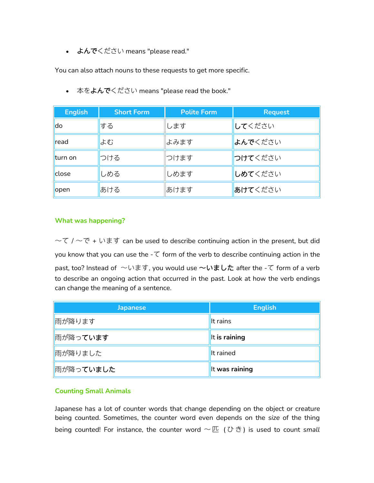• よんでください means "please read."

You can also attach nouns to these requests to get more specific.

| <b>English</b> | <b>Short Form</b> | <b>Polite Form</b> | <b>Request</b> |
|----------------|-------------------|--------------------|----------------|
| do.            | する                | します                | してください         |
| read           | よむ                | よみます               | よんでください        |
| lturn on       | つける               | つけます               | つけてください        |
| close          | しめる               | しめます               | しめてください        |
| open           | あける               | あけます               | あけてください        |

● 本をよんでください means "please read the book."

#### **What was happening?**

 $\sim$ て /  $\sim$ で + います can be used to describe continuing action in the present, but did you know that you can use the  $-\tau$  form of the verb to describe continuing action in the past, too? Instead of  $\sim$ います, you would use  $\sim$ いました after the -て form of a verb to describe an ongoing action that occurred in the past. Look at how the verb endings can change the meaning of a sentence.

| <b>Japanese</b> | <b>English</b> |
|-----------------|----------------|
| 雨が降ります          | It rains       |
| 雨が降っています        | It is raining  |
| 雨が降りました         | It rained      |
| 雨が降っていました       | It was raining |

# **Counting Small Animals**

Japanese has a lot of counter words that change depending on the object or creature being counted. Sometimes, the counter word even depends on the *size* of the thing being counted! For instance, the counter word 〜 匹 ( ひ き ) is used to count *small*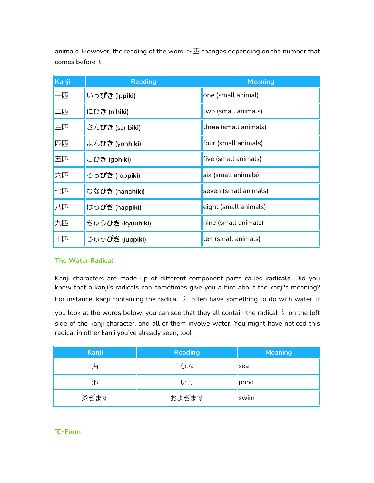animals. However, the reading of the word  $\neg \mathbb{E}$  changes depending on the number that comes before it.

| Kanji | <b>Reading</b>          | <b>Meaning</b>        |
|-------|-------------------------|-----------------------|
| —匹    | いっぴき (ippiki)           | one (small animal)    |
| 二匹    | にひき (ni <b>hiki</b> )   | two (small animals)   |
| 三匹    | さんびき (sanbiki)          | three (small animals) |
| 四匹    | よんひき (yonhiki)          | four (small animals)  |
| 五匹    | ごひき (gohiki)            | five (small animals)  |
| 六匹    | ろっぴき (rop <b>piki</b> ) | six (small animals)   |
| 七匹    | ななひき (nanahiki)         | seven (small animals) |
| 八匹    | はっぴき (hap <b>piki</b> ) | eight (small animals) |
| 九匹    | きゅうひき (kyuuhiki)        | nine (small animals)  |
| 十匹    | じゅっぴき (juppiki)         | ten (small animals)   |

# **The Water Radical**

Kanji characters are made up of different component parts called **radicals**. Did you know that a kanji's radicals can sometimes give you a hint about the kanji's meaning? For instance, kanji containing the radical  $\tilde{\zeta}$  often have something to do with water. If you look at the words below, you can see that they all contain the radical 冫 on the left side of the kanji character, and all of them involve water. You might have noticed this radical in other kanji you've already seen, too!

| Kanji | <b>Reading</b> | <b>Meaning</b> |
|-------|----------------|----------------|
| 海     | うみ             | <b>sea</b>     |
| 池     | いけ             | pond           |
| 泳ぎます  | およぎます          | swim           |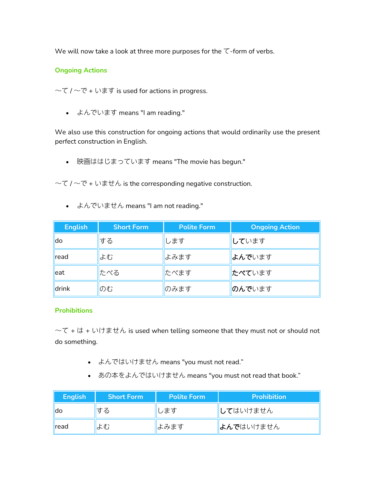We will now take a look at three more purposes for the  $\tau$ -form of verbs.

# **Ongoing Actions**

 $-\tau$  /  $-\tau$  + います is used for actions in progress.

よんでいます means "I am reading."

We also use this construction for ongoing actions that would ordinarily use the present perfect construction in English.

● 映画ははじまっています means "The movie has begun."

 $-\tau$  /  $-\tau$  + いません is the corresponding negative construction.

よんでいません means "I am not reading."

| <b>English</b> | <b>Short Form</b> | <b>Polite Form</b> | <b>Ongoing Action</b> |
|----------------|-------------------|--------------------|-----------------------|
| ldo            | する                | します                | しています                 |
| read           | よむ                | よみます               | よんでいます                |
| leat           | たべる               | たべます               | たべています                |
| drink          | のむ                | のみます               | のんでいます                |

# **Prohibitions**

 $-\tau$  +  $\vert t + \psi \vert$  +  $\pm \tau$  is used when telling someone that they must not or should not do something.

- よんではいけません means "you must not read."
- あの本をよんではいけません means "you must not read that book."

| <b>English</b> | <b>Short Form</b> | <b>Polite Form</b> | <b>Prohibition</b> |
|----------------|-------------------|--------------------|--------------------|
| lldo           | する                | します                | <b>して</b> はいけません   |
| read           | よむ                | よみます               | よんではいけません          |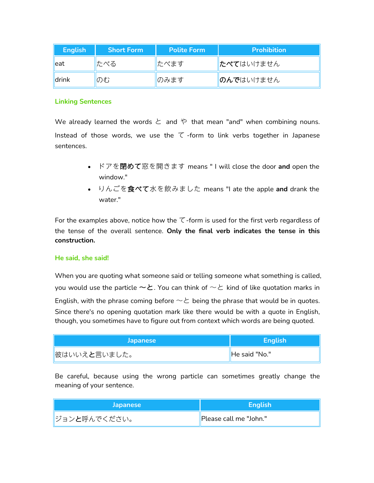| <b>English</b> | <b>Short Form</b> | <b>Polite Form</b> | <b>Prohibition</b>  |
|----------------|-------------------|--------------------|---------------------|
| ∥eat           | たべる               | たべます               | <b>たべて</b> はいけません   |
| drink          | のむ                | のみます               | <b>  のんで</b> はいけません |

#### **Linking Sentences**

We already learned the words  $\zeta$  and  $\zeta$  that mean "and" when combining nouns. Instead of those words, we use the  $\tau$ -form to link verbs together in Japanese sentences.

- ドアを閉めて窓を開きます means " I will close the door **and** open the window."
- りんごを食べて水を飲みました means "I ate the apple **and** drank the water."

For the examples above, notice how the  $\tau$ -form is used for the first verb regardless of the tense of the overall sentence. **Only the final verb indicates the tense in this construction.**

#### **He said, she said!**

When you are quoting what someone said or telling someone what something is called, you would use the particle  $\sim$ と. You can think of  $\sim$ と kind of like quotation marks in English, with the phrase coming before  $\sim$   $\geq$  being the phrase that would be in quotes. Since there's no opening quotation mark like there would be with a quote in English, though, you sometimes have to figure out from context which words are being quoted.

| <b>Japanese</b>       | <b>English</b> |
|-----------------------|----------------|
| <b>  彼はいいえと言いました。</b> | He said "No."  |

Be careful, because using the wrong particle can sometimes greatly change the meaning of your sentence.

| <b>Japanese</b>                 | <b>English</b>                      |
|---------------------------------|-------------------------------------|
| <u> </u>  ジョン <b>と</b> 呼んでください。 | <sup>I</sup> Please call me "John." |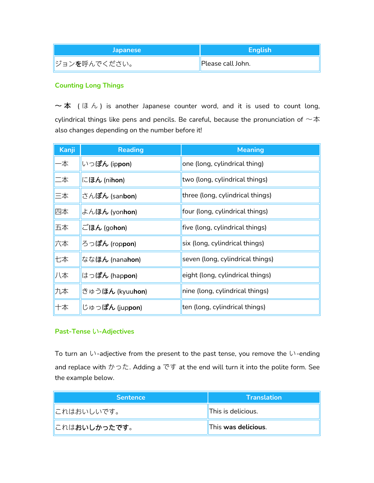| <b>Japanese</b>       | <b>English</b>    |
|-----------------------|-------------------|
| <b>  ジョンを呼んでください。</b> | Please call John. |

### **Counting Long Things**

 $\sim$  本 (ほん) is another Japanese counter word, and it is used to count long, cylindrical things like pens and pencils. Be careful, because the pronunciation of  $\nu\bar{\rm\bf x}$ also changes depending on the number before it!

| Kanji | <b>Reading</b>                 | <b>Meaning</b>                   |
|-------|--------------------------------|----------------------------------|
| -本    | いっぽん (ippon)                   | one (long, cylindrical thing)    |
| 二本    | にほん (ni <b>hon)</b>            | two (long, cylindrical things)   |
| 三本    | さん <b>ぼん</b> (san <b>bon</b> ) | three (long, cylindrical things) |
| 四本    | よんほん (yonhon)                  | four (long, cylindrical things)  |
| 五本    | ごほん (gohon)                    | five (long, cylindrical things)  |
| 六本    | ろっぽん (rop <b>pon</b> )         | six (long, cylindrical things)   |
| 七本    | ななほん (nana <b>hon</b> )        | seven (long, cylindrical things) |
| 八本    | はっぽん (hap <b>pon</b> )         | eight (long, cylindrical things) |
| 九本    | きゅうほん (kyuuhon)                | nine (long, cylindrical things)  |
| 十本    | じゅっぽん (juppon)                 | ten (long, cylindrical things)   |

# **Past-Tense** い**-Adjectives**

To turn an  $\mathfrak{b}$ -adjective from the present to the past tense, you remove the  $\mathfrak{b}$ -ending and replace with  $\mathcal{D} \cap \mathcal{L}$ . Adding a  $\mathfrak{C} \nsubseteq \mathfrak{I}$  at the end will turn it into the polite form. See the example below.

| <b>Sentence</b>       | $\sf\bf I$ Translation $\sf\it I$ |
|-----------------------|-----------------------------------|
| <u>∥</u> これはおいしいです。   | This is delicious.                |
| <u>  これはおいしかったです。</u> | This was delicious.               |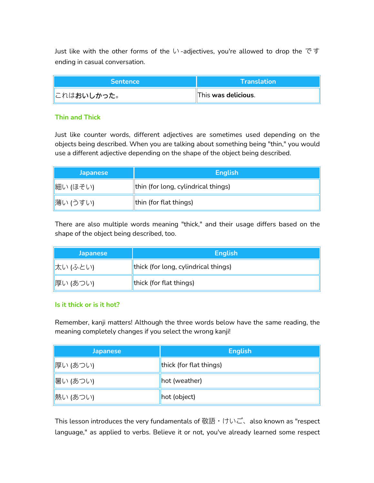Just like with the other forms of the い -adjectives, you're allowed to drop the で す ending in casual conversation.

| <b>Sentence</b>             | <b>Translation</b>  |
|-----------------------------|---------------------|
| <u>∥</u> これは <b>おいしかった。</b> | This was delicious. |

#### **Thin and Thick**

Just like counter words, different adjectives are sometimes used depending on the objects being described. When you are talking about something being "thin," you would use a different adjective depending on the shape of the object being described.

| <b>Japanese</b> | <b>English</b>                      |
|-----------------|-------------------------------------|
| 細い (ほそい)        | thin (for long, cylindrical things) |
| 薄い (うすい)        | <b>thin (for flat things)</b>       |

There are also multiple words meaning "thick," and their usage differs based on the shape of the object being described, too.

| <b>Japanese</b> | <b>English</b>                       |
|-----------------|--------------------------------------|
| 太い (ふとい)        | thick (for long, cylindrical things) |
| 厚い (あつい)        | thick (for flat things)              |

#### **Is it thick or is it hot?**

Remember, kanji matters! Although the three words below have the same reading, the meaning completely changes if you select the wrong kanji!

| <b>Japanese</b> | <b>English</b>          |
|-----------------|-------------------------|
| 厚い (あつい)        | thick (for flat things) |
| 暑い (あつい)        | hot (weather)           |
| 熱い (あつい)        | hot (object)            |

This lesson introduces the very fundamentals of 敬語・けいご、also known as "respect language," as applied to verbs. Believe it or not, you've already learned some respect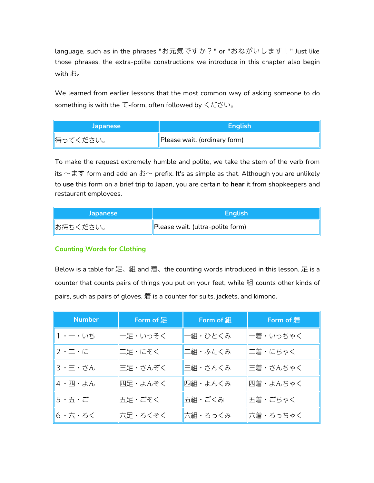language, such as in the phrases "お元気ですか?" or "おねがいします!" Just like those phrases, the extra-polite constructions we introduce in this chapter also begin with お。

We learned from earlier lessons that the most common way of asking someone to do something is with the て-form, often followed by ください。

| <b>Japanese</b> | <b>English</b>               |
|-----------------|------------------------------|
| 侍ってください。        | Please wait. (ordinary form) |

To make the request extremely humble and polite, we take the stem of the verb from its  $\sim$ ます form and add an お $\sim$  prefix. It's as simple as that. Although you are unlikely to **use** this form on a brief trip to Japan, you are certain to **hear** it from shopkeepers and restaurant employees.

| <b>Japanese</b> | <b>English</b>                   |
|-----------------|----------------------------------|
| お待ちください。        | Please wait. (ultra-polite form) |

# **Counting Words for Clothing**

Below is a table for 足、組 and 着、the counting words introduced in this lesson. 足 is a counter that counts pairs of things you put on your feet, while 組 counts other kinds of pairs, such as pairs of gloves. 着 is a counter for suits, jackets, and kimono.

| <b>Number</b>                                           | $\sf \mid$ Form of 足 $\sf \mid$ | <b>Form of 組</b> | Form of 着 |
|---------------------------------------------------------|---------------------------------|------------------|-----------|
| $1 - 0.05$                                              | 一足・いっそく                         | 一組・ひとくみ          | 一着・いっちゃく  |
| $2 \cdot 7 \cdot 7$                                     | 二足・にそく                          | 二組・ふたくみ          | 二着・にちゃく   |
| 3・三・さん                                                  | 三足・さんぞく                         | 三組・さんくみ          | 三着・さんちゃく  |
| $4 \cdot \mathbb{E} \cdot \mathbb{A}$ ん                 | 四足・よんそく                         | 四組・よんくみ          | 四着・よんちゃく  |
| $5 \cdot \overline{\text{h}} \cdot \overline{\text{c}}$ | 五足・ごそく                          | 五組・ごくみ           | 五着・ごちゃく   |
| 6・六・ろく                                                  | 六足・ろくそく                         | 六組・ろっくみ          | 六着・ろっちゃく  |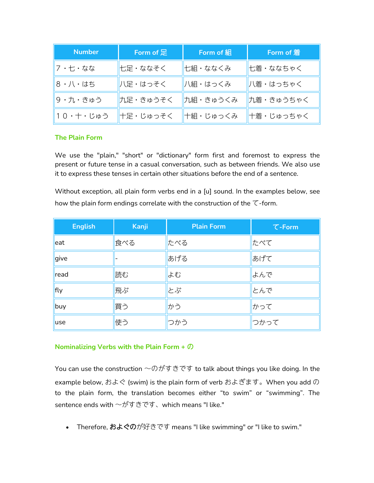| <b>Number</b> | Form of $E$                              | <b>Form of 組</b>     | Form of 着 |
|---------------|------------------------------------------|----------------------|-----------|
| 7・七・なな        | ∥七足・ななそく                                 | ∥七組・ななくみ             | 七着・ななちゃく  |
| 8 ・八・はち       | 八足・はっそく                                  | 八組・はっくみ              | 八着・はっちゃく  |
| 9・九・きゅう       | ∥九足・きゅうそく                                | ┃九組・きゅうくみ ┃九着・きゅうちゃく |           |
|               | ∥10・十・じゅう ∥十足・じゅっそく ‖十組・じゅっくみ ‖十着・じゅっちゃく |                      |           |

# **The Plain Form**

We use the "plain," "short" or "dictionary" form first and foremost to express the present or future tense in a casual conversation, such as between friends. We also use it to express these tenses in certain other situations before the end of a sentence.

Without exception, all plain form verbs end in a [u] sound. In the examples below, see how the plain form endings correlate with the construction of the  $\tau$ -form.

| <b>English</b> | Kanji | <b>Plain Form</b> | $\tau$ -Form |
|----------------|-------|-------------------|--------------|
| eat            | 食べる   | たべる               | たべて          |
| give           |       | あげる               | あげて          |
| read           | 読む    | よむ                | よんで          |
| fly            | 飛ぶ    | とぶ                | とんで          |
| buy            | 買う    | かう                | かって          |
| luse           | 使う    | つかう               | つかって         |

# **Nominalizing Verbs with the Plain Form +** の

You can use the construction  $\sim$ のがすきです to talk about things you like doing. In the example below, およぐ (swim) is the plain form of verb およぎます。When you add の to the plain form, the translation becomes either "to swim" or "swimming". The sentence ends with ~がすきです、which means "I like."

• Therefore, およぐのが好きです means "I like swimming" or "I like to swim."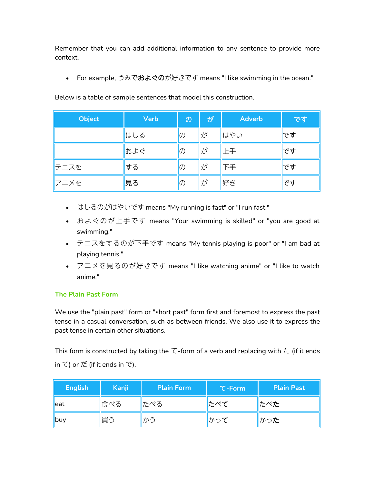Remember that you can add additional information to any sentence to provide more context.

• For example, うみでおよぐのが好きです means "I like swimming in the ocean."

| Object | <b>Verb</b> | $\mathcal{O}$ | /が/ | <b>Adverb</b> | です |
|--------|-------------|---------------|-----|---------------|----|
|        | はしる         | $ 0\rangle$   | が   | はやい           | です |
|        | およぐ         | $ 0\rangle$   | が   | 止手            | です |
| ∥テニスを  | する          | $ 0\rangle$   | ∦が  | 下手            | です |
| アニメを   | 見る          | $ 0\rangle$   | が   | 好き            | です |

Below is a table of sample sentences that model this construction.

- はしるのがはやいです means "My running isfast" or "I run fast."
- およぐのが上手です means "Your swimming is skilled" or "you are good at swimming."
- テニスをするのが下手です means "My tennis playing is poor" or "I am bad at playing tennis."
- アニメを見るのが好きです means "I like watching anime" or "I like to watch anime."

# **The Plain Past Form**

We use the "plain past" form or "short past" form first and foremost to express the past tense in a casual conversation, such as between friends. We also use it to express the past tense in certain other situations.

This form is constructed by taking the  $\tau$ -form of a verb and replacing with  $t$  (if it ends in  $\zeta$ ) or  $t\ddot{z}$  (if it ends in  $\bar{\zeta}$ ).

| <b>English</b> | <b>Kanji</b> | <b>Plain Form</b> | $\tau$ -Form | <b>Plain Past</b> |
|----------------|--------------|-------------------|--------------|-------------------|
| leat           | 食べる          | たべる               | たべて          | たべた               |
| ∥buy           | 買う           | かう                | かって          | かった               |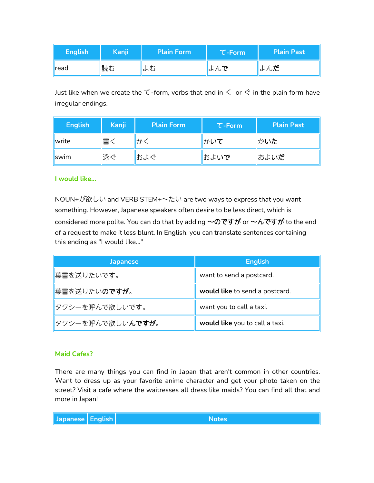| <b>English</b> | Kanji | <b>Plain Form</b> | <b>T-Form</b> | <b>Plain Past</b> |
|----------------|-------|-------------------|---------------|-------------------|
| <b>read</b>    | 読む    | はむ                | よんで           | よんだ               |

Just like when we create the  $\tau$ -form, verbs that end in  $\leq$  or  $\leq$  in the plain form have irregular endings.

| <b>English</b> | 'Kanji <sub>l</sub> | <b>Plain Form</b> | $\tau$ -Form | <b>Plain Past</b> |
|----------------|---------------------|-------------------|--------------|-------------------|
| write          | 書                   | かく                | かいて          | かいた               |
| <i>swim</i>    | 泳ぐ                  | およぐ               | およいで         | およいだ              |

#### **I would like...**

NOUN+が欲しい and VERB STEM+〜たい are two ways to express that you want something. However, Japanese speakers often desire to be less direct, which is considered more polite. You can do that by adding  $\sim$ のですが or  $\sim$ んですが to the end of a request to make it less blunt. In English, you can translate sentences containing this ending as "I would like..."

| <b>Japanese</b>                 | <b>English</b>                   |
|---------------------------------|----------------------------------|
| 葉書を送りたいです。                      | I want to send a postcard.       |
| <b>  葉書を送りたいのですが。</b>           | I would like to send a postcard. |
| タクシーを呼んで欲しいです。                  | l want you to call a taxi.       |
| <u>∥タクシーを呼んで欲しい<b>んですが</b>。</u> | I would like you to call a taxi. |

#### **Maid Cafes?**

There are many things you can find in Japan that aren't common in other countries. Want to dress up as your favorite anime character and get your photo taken on the street? Visit a cafe where the waitresses all dress like maids? You can find all that and more in Japan!

**Japanese English Notes**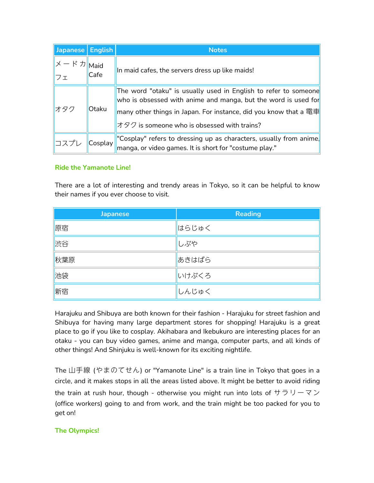| Japanese    | <b>English</b> | <b>Notes</b>                                                                                                                                                                                                                                         |  |  |  |
|-------------|----------------|------------------------------------------------------------------------------------------------------------------------------------------------------------------------------------------------------------------------------------------------------|--|--|--|
| メードカ<br>∥フェ | Maid<br>Cafe   | In maid cafes, the servers dress up like maids!                                                                                                                                                                                                      |  |  |  |
| オタク         | Otaku          | The word "otaku" is usually used in English to refer to someone<br>who is obsessed with anime and manga, but the word is used for<br>many other things in Japan. For instance, did you know that a 電車<br>オタク is someone who is obsessed with trains? |  |  |  |
| コスプレ        | Cosplay        | "Cosplay" refers to dressing up as characters, usually from anime,<br>manga, or video games. It is short for "costume play."                                                                                                                         |  |  |  |

#### **Ride the Yamanote Line!**

There are a lot of interesting and trendy areas in Tokyo, so it can be helpful to know their names if you ever choose to visit.

| <b>Japanese</b> | <b>Reading</b> |
|-----------------|----------------|
| 原宿              | はらじゅく          |
| 渋谷              | しぶや            |
| 秋葉原             | あきはばら          |
| 池袋              | いけぶくろ          |
| 新宿              | しんじゅく          |

Harajuku and Shibuya are both known for their fashion - Harajuku for street fashion and Shibuya for having many large department stores for shopping! Harajuku is a great place to go if you like to cosplay. Akihabara and Ikebukuro are interesting places for an otaku - you can buy video games, anime and manga, computer parts, and all kinds of other things! And Shinjuku is well-known for its exciting nightlife.

The 山手線 (やまのてせん) or "Yamanote Line" is a train line in Tokyo that goes in a circle, and it makes stops in all the areas listed above. It might be better to avoid riding the train at rush hour, though - otherwise you might run into lots of  $\sharp \bar{\tau} \cup -\bar{\tau} \rangle$ (office workers) going to and from work, and the train might be too packed for you to get on!

# **The Olympics!**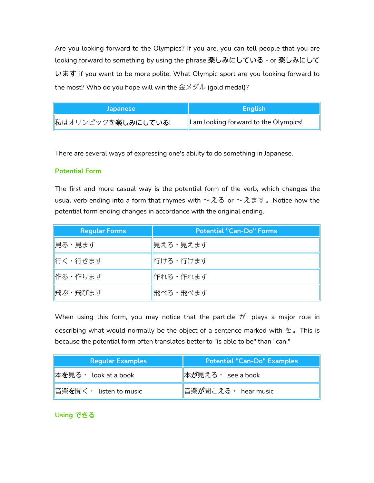Are you looking forward to the Olympics? If you are, you can tell people that you are looking forward to something byusing the phrase 楽しみにしている - or楽しみにして います if you want to be more polite.What Olympic sport are you looking forward to the most? Who do you hope will win the  $\hat{\mathbb{E}} \times \hat{\mathbb{E}}$  / (gold medal)?

| <b>Japanese</b>    | Enalish                                    |
|--------------------|--------------------------------------------|
| 私はオリンピックを楽しみにしている! | $\ $ I am looking forward to the Olympics! |

There are several ways of expressing one's ability to do something in Japanese.

#### **Potential Form**

The first and more casual way is the potential form of the verb, which changes the usual verb ending into a form that rhymes with  $\sim$ える or  $\sim$ えます。Notice how the potential form ending changes in accordance with the original ending.

| <b>Regular Forms</b> | <b>Potential "Can-Do" Forms</b> |
|----------------------|---------------------------------|
| 見る・見ます               | 見える・見えます                        |
| 行く・行きます              | 行ける・行けます                        |
| 作る・作ります              | 作れる・作れます                        |
| 飛ぶ・飛びます              | 飛べる・飛べます                        |

When using this form, you may notice that the particle  $\ddot{\text{D}}$  plays a major role in describing what would normally be the object of a sentence marked with  $\overline{\epsilon}$ . This is because the potential form often translates better to "is able to be" than "can."

| <b>Regular Examples</b> | <b>Potential "Can-Do" Examples</b> |
|-------------------------|------------------------------------|
| ∥本を見る・ look at a book   | ∥本が見える ・ see a book                |
| ∥音楽を聞く・ listen to music | 音楽が聞こえる · hear music               |

# **Using** できる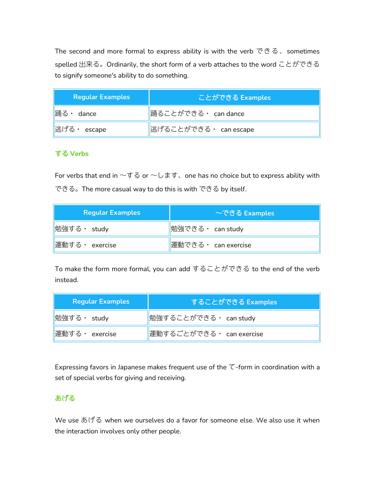The second and more formal to express ability is with the verb  $\mathfrak{S} \mathfrak{S}$ , sometimes spelled 出来る。Ordinarily, the short form of a verb attaches to the word ことができる to signify someone's ability to do something.

| Regular Examples      | ことができる Examples       |  |
|-----------------------|-----------------------|--|
| 踊る・<br>dance          | ∥踊ることができる・ can dance  |  |
| 迷げる<br>$\cdot$ escape | 逃げることができる・ can escape |  |

# する **Verbs**

For verbs that end in  $\neg \vec{v} \otimes \vec{v} \negthinspace \sim \negthinspace U \not\equiv \vec{v} \vee \vec{v}$  one has no choice but to express ability with できる。The more casual way to do this is with できる by itself.

| <b>Regular Examples</b>   | $\sim$ できる Examples |
|---------------------------|---------------------|
| <mark></mark> 勉強する・ study | ∥勉強できる・ can study   |
| 運動する · exercise           | 運動できる・ can exercise |

To make the form more formal, you can add することができる to the end of the verb instead.

| <b>Regular Examples</b> | することができる Examples         |
|-------------------------|---------------------------|
| ∥勉強する・ study            | 勉強することができる・ can study     |
| 運動する・<br>exercise       | 運動するごとができる · can exercise |

Expressing favors in Japanese makes frequent use of the  $\tau$ -form in coordination with a set of special verbs for giving and receiving.

# あげる

We use あげる when we ourselves do a favor for someone else. We also use it when the interaction involves only other people.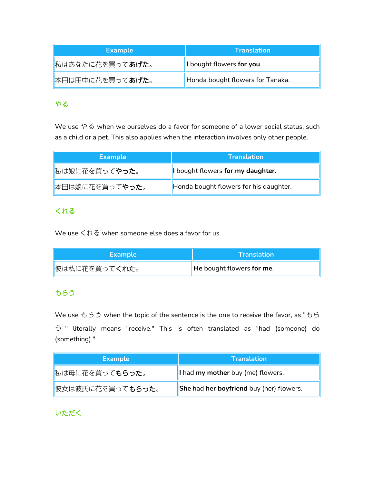| <b>Example</b>          | <b>Translation</b>               |
|-------------------------|----------------------------------|
| 私はあなたに花を買って <b>あげた。</b> | I bought flowers for you.        |
| ■本田は田中に花を買ってあげた。        | Honda bought flowers for Tanaka. |

# やる しゅうしょう しゅうしょう しゅうしょう

We use やる when we ourselves do a favor for someone of a lower social status, such as a child or a pet. This also applies when the interaction involves only other people.

| <b>Example</b>                     | <b>Translation</b>                     |
|------------------------------------|----------------------------------------|
| <mark>■私は娘に花を買って<b>やった</b>。</mark> | I bought flowers for my daughter.      |
| <b>本田は娘に花を買ってやった。</b>              | Honda bought flowers for his daughter. |

# くれる

We use くれる when someone else does a favor for us.

| <b>Example</b>         | $\Lambda$ Translation $\Lambda$ |
|------------------------|---------------------------------|
| <b>  彼は私に花を買ってくれた。</b> | He bought flowers for me.       |

# もらう

We use もらう when the topic of the sentence is the one to receive the favor, as "もら う " literally means "receive." This is often translated as "had (someone) do (something)."

| <b>Example</b>                   | <b>Translation</b>                       |
|----------------------------------|------------------------------------------|
| <b>  私は母に花を買ってもらった。</b>          | I had my mother buy (me) flowers.        |
| <u>  彼女は彼氏に花を買って<b>もらった</b>。</u> | She had her boyfriend buy (her) flowers. |

# いただく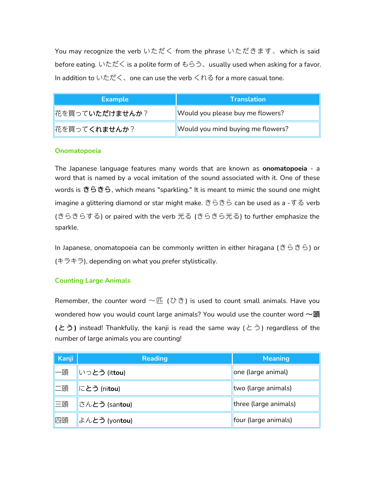You may recognize the verb いただく from the phrase いただきます、which is said before eating. いただく is a polite form of もらう、usually used when asking for a favor. In addition to いただく、one can use the verb くれる for a more casual tone.

| <b>Example</b>          | <b>Translation</b>                |
|-------------------------|-----------------------------------|
| <b>  花を買っていただけませんか?</b> | Would you please buy me flowers?  |
| <b>  花を買ってくれませんか?</b>   | Would you mind buying me flowers? |

#### **Onomatopoeia**

The Japanese language features many words that are known as **onomatopoeia** - a word that is named by a vocal imitation of the sound associated with it. One of these words is きらきら, which means "sparkling." It is meant to mimic the sound one might imagine a glittering diamond or star might make. きらきら can be used as a -する verb (きらきらする) or paired with the verb 光る (きらきら光る) to further emphasize the sparkle.

In Japanese, onomatopoeia can be commonly written in either hiragana (きらきら) or (キラキラ), depending on what you prefer stylistically.

# **Counting Large Animals**

Remember, the counter word  $\sim \mathbb{E}$  (ひき) is used to count small animals. Have you wondered how you would count large animals? You would use the counter word  $\sim$ 頭 **(**とう**)** instead! Thankfully, the kanji is read the same way (とう) regardless of the number of large animals you are counting!

| Kanji | <b>Reading</b>                 | <b>Meaning</b>        |
|-------|--------------------------------|-----------------------|
| 一頭    | いっとう (ittou)                   | one (large animal)    |
| 二頭    | にとう (nitou)                    | two (large animals)   |
| 三頭    | さん <b>とう</b> (san <b>tou</b> ) | three (large animals) |
| 四頭    | よんとう (yontou)                  | four (large animals)  |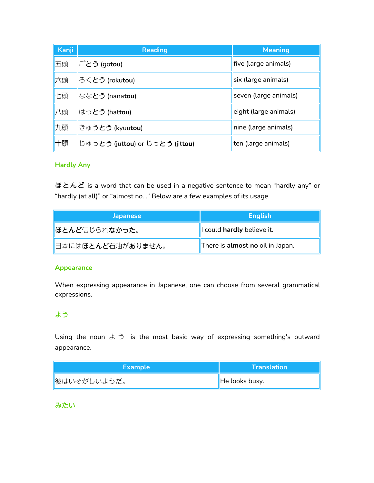| Kanji | <b>Reading</b>                  | <b>Meaning</b>        |
|-------|---------------------------------|-----------------------|
| 五頭    | ∥ごとう (go <b>tou</b> )           | five (large animals)  |
| 六頭    | ろく <b>とう</b> (roku <b>tou</b> ) | six (large animals)   |
| 七頭    | なな <b>とう</b> (nana <b>tou</b> ) | seven (large animals) |
| 頓     | はっとう (hattou)                   | eight (large animals) |
| 九頭    | llきゅう <b>とう (kyuutou)</b>       | nine (large animals)  |
| 十頭    | じゅっとう (juttou) or じっとう (jittou) | ten (large animals)   |

#### **Hardly Any**

ほとんど is a word that can be used in a negative sentence to mean "hardly any" or "hardly (at all)" or "almost no…" Below are a few examples of its usage.

| <b>Japanese</b>                                   | <b>English</b>                   |
|---------------------------------------------------|----------------------------------|
| <b>  ほとんど</b> 信じられなかった。                           | l could hardly believe it.       |
| <mark> </mark> 日本には <b>ほとんど</b> 石油が <b>ありません。</b> | There is almost no oil in Japan. |

#### **Appearance**

When expressing appearance in Japanese, one can choose from several grammatical expressions.

# よう しゅうしゅう しゅうしゅうしょう

Using the noun  $\xi$   $\gtrsim$  is the most basic way of expressing something's outward appearance.

| <b>Example</b> | <b>Translation</b> |
|----------------|--------------------|
| 彼はいそがしいようだ。    | He looks busy.     |

# みたい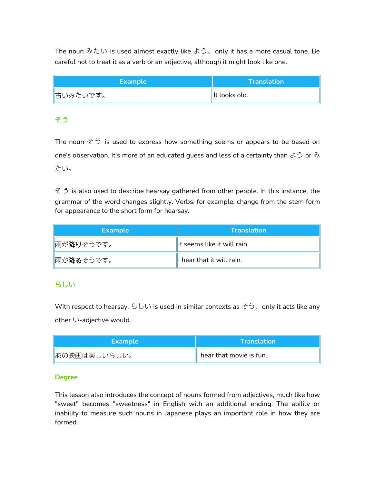The noun みたい is used almost exactly like よう、only it has a more casual tone. Be careful not to treat it as a verb or an adjective, although it might look like one.

| <b>Example</b> | <b>Translation</b> |
|----------------|--------------------|
| 古いみたいです。       | It looks old.      |

# そう しゅうしょう しゅうしゅうしょう

The noun  $\zeta$  is used to express how something seems or appears to be based on one's observation. It's more of an educated guess and less of a certainty than  $\zeta$  or  $\partial$ たい。

 $\leq$   $\geq$  is also used to describe hearsay gathered from other people. In this instance, the grammar of the word changes slightly. Verbs, for example, change from the stem form for appearance to the short form for hearsay.

| <b>Example</b> | $\mathsf{I}$ Translation $\mathsf{I}$ |
|----------------|---------------------------------------|
| ■雨が降りそうです。     | It seems like it will rain.           |
| ■雨が降るそうです。     | I hear that it will rain.             |

# らしい

With respect to hearsay, らしい is used in similar contexts as そう、only it acts like any other い-adjective would.

| <b>Example</b> | $\Lambda$ Translation $\nu$ |
|----------------|-----------------------------|
| ∥あの映画は楽しいらしい。  | I hear that movie is fun.   |

# **Degree**

This lesson also introduces the concept of nouns formed from adjectives, much like how "sweet" becomes "sweetness" in English with an additional ending. The ability or inability to measure such nouns in Japanese plays an important role in how they are formed.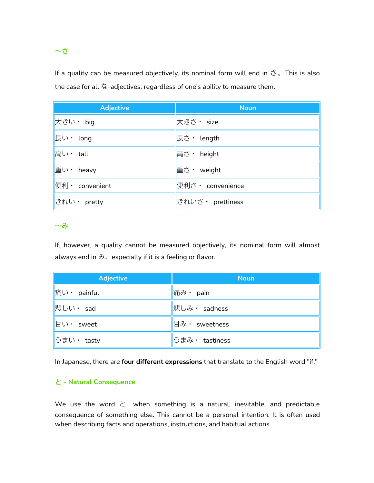# 〜さ

If a quality can be measured objectively, its nominal form will end in  $\ddot{\text{c}}$  . This is also the case for all な-adjectives, regardless of one's ability to measure them.

| <b>Adjective</b> | <b>Noun</b>       |
|------------------|-------------------|
| 大きい・ big         | 大きさ・ size         |
| 長い・ long         | 長さ・ length        |
| 高い・ tall         | 高さ · height       |
| 重い · heavy       | 重さ· weight        |
| 便利 · convenient  | 便利さ · convenience |
| きれい・ pretty      | きれいさ・ prettiness  |

# $\sim$ みついこう しょうしょうしょうしゃ

If, however, a quality cannot be measured objectively, its nominal form will almost always end in  $\partial x$ , especially if it is a feeling or flavor.

| <b>Adjective</b>                           | <b>Noun</b>    |
|--------------------------------------------|----------------|
| $\ \widehat{\mathbf{A}}\ $ $\cdot$ painful | ∥痛み・ pain      |
| 悲しい・ sad                                   | 悲しみ・ sadness   |
| 甘い · sweet                                 | 甘み・ sweetness  |
| ∥うまい・ tasty                                | うまみ・ tastiness |

In Japanese, there are **four different expressions** that translate to the English word "if."

# と **- Natural Consequence**

We use the word  $\angle$  when something is a natural, inevitable, and predictable consequence of something else. This cannot be a personal intention. It is often used when describing facts and operations, instructions, and habitual actions.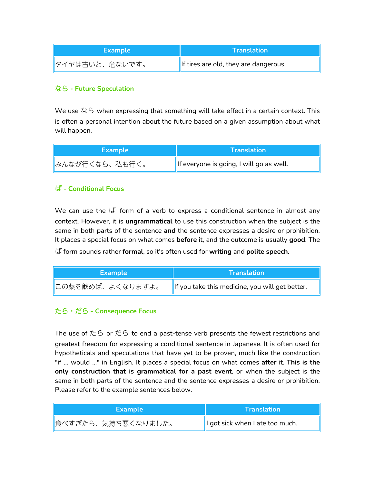| Example         | \Translation                          |
|-----------------|---------------------------------------|
| ∥タイヤは古いと、危ないです。 | If tires are old, they are dangerous. |

# なら **- Future Speculation**

We use なら when expressing that something will take effect in a certain context. This is often a personal intention about the future based on a given assumption about what will happen.

| <b>Example</b> | $\sf{I}$ Translation $\sf{I}$            |
|----------------|------------------------------------------|
| みんなが行くなら、私も行く。 | If everyone is going, I will go as well. |

# ば **- Conditional Focus**

We can use the ば formof a verb to express a conditional sentence in almost any context. However, it is *ungrammatical* to use this construction when the subject is the same in both parts of the sentence **and** the sentence expresses a desire or prohibition. It places a special focus on what comes **before** it, and the outcome is usually **good**. The ば form sounds rather **formal**, so it's often used for **writing** and **polite speech**.

| <b>\Example</b>  | <b>Translation</b>                              |
|------------------|-------------------------------------------------|
| この薬を飲めば、よくなりますよ。 | If you take this medicine, you will get better. |

# たら・だら **- Consequence Focus**

The use of  $t\bar{c}$  or  $t\bar{c}$  to end a past-tense verb presents the fewest restrictions and greatest freedom for expressing a conditional sentence in Japanese. It is often used for hypotheticals and speculations that have yet to be proven, much like the construction "if ... would ..." in English. It places a special focus on what comes **after** it. **This is the only construction that is grammatical for a past event**, or when the subject is the same in both parts of the sentence and the sentence expresses a desire or prohibition. Please refer to the example sentences below.

| <b>Example</b>      | <b>Translation</b>               |
|---------------------|----------------------------------|
| ■食べすぎたら、気持ち悪くなりました。 | Il got sick when I ate too much. |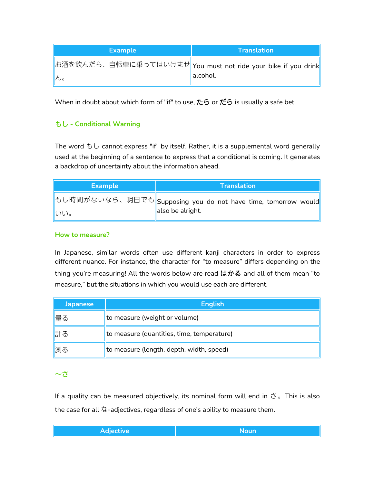| <b>Example</b> |           | <b>Translation</b>                                             |
|----------------|-----------|----------------------------------------------------------------|
|                |           | ∥お酒を飲んだら、自転車に乗ってはいけませ∥You must not ride your bike if you drink |
| ro             | lalcohol. |                                                                |

When in doubt about which form of "if" to use,  $\overline{L}$  or  $\overline{L}$  is usually a safe bet.

# もし **- Conditional Warning**

The word もし cannot express "if" by itself. Rather, it is a supplemental word generally used at the beginning of a sentence to express that a conditional is coming. It generates a backdrop of uncertainty about the information ahead.

| <b>Example</b> | <b>Translation</b>                                             |
|----------------|----------------------------------------------------------------|
|                | もし時間がないなら、明日でも  Supposing you do not have time, tomorrow would |
| りいしい。          | also be alright.                                               |

#### **How to measure?**

In Japanese, similar words often use different kanji characters in order to express different nuance. For instance, the character for "to measure" differs depending on the thing you're measuring! All the words below are read  $\vert \phi \rangle$ る and all of them mean "to measure," but the situations in which you would use each are different.

| <b>Japanese</b> | <b>English</b>                             |
|-----------------|--------------------------------------------|
| 量る              | to measure (weight or volume)              |
| 計る              | to measure (quantities, time, temperature) |
| 測る              | to measure (length, depth, width, speed)   |

# $\sim$ さつのことにはない しょうしょうしょく

If a quality can be measured objectively, its nominal form will end in  $\ddot{\text{c}}$  a This is also the case for all な-adjectives, regardless of one's ability to measure them.

| Adjective<br>Noun |
|-------------------|
|-------------------|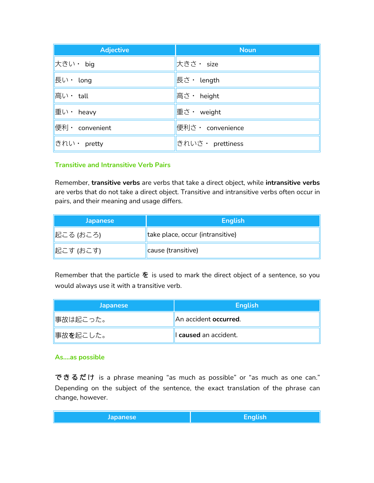| <b>Adjective</b> | <b>Noun</b>      |
|------------------|------------------|
| 大きい・ big         | 大きさ・ size        |
| 長い・ long         | 長さ・ length       |
| 高い・ tall         | 高さ・ height       |
| 重い · heavy       | 重さ · weight      |
| 便利 · convenient  | 便利さ・ convenience |
| きれい· pretty      | きれいさ・ prettiness |

#### **Transitive and Intransitive Verb Pairs**

Remember, **transitive verbs** are verbs that take a direct object, while **intransitive verbs** are verbs that do not take a direct object. Transitive and intransitive verbs often occur in pairs, and their meaning and usage differs.

| <b>Japanese</b> | <b>English</b>                   |
|-----------------|----------------------------------|
| 起こる (おころ)       | take place, occur (intransitive) |
| 起こす (おこす)       | cause (transitive)               |

Remember that the particle  $\hat{\tau}$  is used to mark the direct object of a sentence, so you would always use it with a transitive verb.

| <b>Japanese</b> | <b>English</b>                |
|-----------------|-------------------------------|
| 事故は起こった。        | An accident <b>occurred</b> . |
| 事故を起こした。        | I caused an accident.         |

#### **As….as possible**

できるだけ is a phrase meaning "as much as possible" or "as much as one can."<br>Depending on the subject of the sentence, the exact translation of the phrase can change, however.

|  | <b>Japanese</b> | $\bullet$<br>cngusn |
|--|-----------------|---------------------|
|--|-----------------|---------------------|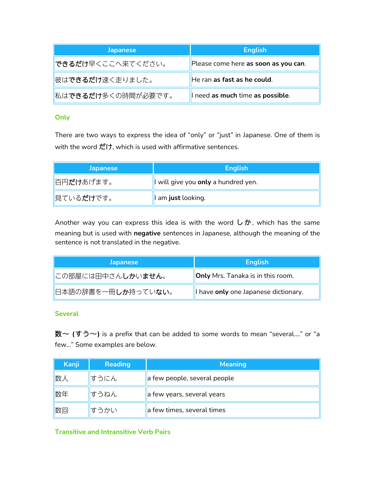| <b>Japanese</b>                  | <b>English</b>                       |
|----------------------------------|--------------------------------------|
| <mark> できるだけ</mark> 早くここへ来てください。 | Please come here as soon as you can. |
| <b>彼はできるだけ速く走りました。</b>           | He ran as fast as he could.          |
| おはできるだけ多くの時間が必要です。               | I need as much time as possible.     |

# **Only**

There are two ways to express the idea of "only" or "just" in Japanese. One of them is with the word だけ, which is used with affirmative sentences.

| <b>Japanese</b>                   | <b>English</b>                      |
|-----------------------------------|-------------------------------------|
| 百円だけあげます。                         | I will give you only a hundred yen. |
| <mark> </mark> 見ている <b>だけ</b> です。 | I am just looking.                  |

Another way you can express this idea is with the word  $\cup$   $\dot{\mathcal{D}}$ , which has the same meaning but is used with **negative** sentences in Japanese, although the meaning of the sentence is not translated in the negative.

| <b>Japanese</b>                                    | <b>English</b>                           |
|----------------------------------------------------|------------------------------------------|
| <b>にの部屋には田中さんしかいません。</b>                           | <b>Only</b> Mrs. Tanaka is in this room. |
| <mark>'</mark> 日本語の辞書を一冊 <b>しか</b> 持ってい <b>ない。</b> | I have only one Japanese dictionary.     |

# **Several**

数〜 **(**すう〜**)** is a prefix that can be added to some words to mean "several…." or "a few…" Some examples are below.

| Kanji | <b>Reading</b> | <b>Meaning</b>               |
|-------|----------------|------------------------------|
| 数人    | すうにん           | a few people, several people |
| 数年    | すうねん           | a few years, several years   |
| 数回    | すうかい           | a few times, several times   |

**Transitive and Intransitive Verb Pairs**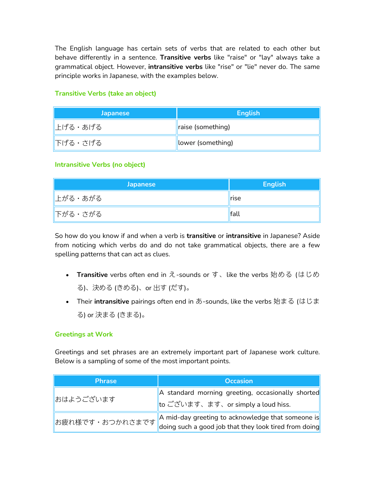The English language has certain sets of verbs that are related to each other but behave differently in a sentence. **Transitive verbs** like "raise" or "lay" always take a grammatical object. However, **intransitive verbs** like "rise"or "lie" never do. The same principle works in Japanese, with the examples below.

| <b>Japanese</b> | <b>English</b>    |
|-----------------|-------------------|
| ∥上げる・あげる        | raise (something) |
| 下げる・さげる         | lower (something) |

# **Transitive Verbs (take an object)**

#### **Intransitive Verbs (no object)**

| <b>Japanese</b> | <b>English</b> |
|-----------------|----------------|
| 上がる・あがる         | <b>rise</b>    |
| 下がる・さがる         | fall           |

So how do you know if and when a verb is **transitive** or **intransitive** in Japanese? Aside from noticing which verbs do and do not take grammatical objects, there are a few spelling patterns that can act as clues.

- **Transitive** verbs often end in え-sounds or す、like the verbs 始める (はじめ る)、決める (きめる)、or 出す (だす)。
- **Their intransitive** pairings often end in あ-sounds, like the verbs 始まる (はじま る) or 決まる (きまる)。

#### **Greetings at Work**

Greetings and set phrases are an extremely important part of Japanese work culture. Below is a sampling of some of the most important points.

| <b>Phrase</b>      | <b>Occasion</b>                                                                                                        |
|--------------------|------------------------------------------------------------------------------------------------------------------------|
| おはようございます          | A standard morning greeting, occasionally shorted<br>to ございます、ます、or simply a loud hiss.                                |
| お疲れ様です・おつかれさまです  ' | A mid-day greeting to acknowledge that someone is<br>$^{\prime}$ doing such a good job that they look tired from doing |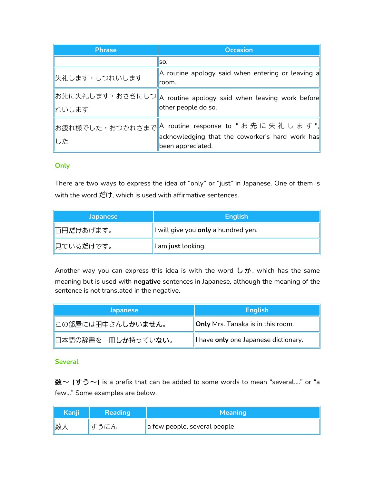| <b>Phrase</b> | <b>Occasion</b>                                                                                                                      |
|---------------|--------------------------------------------------------------------------------------------------------------------------------------|
|               | lso.                                                                                                                                 |
| 失礼します・しつれいします | A routine apology said when entering or leaving a<br>room.                                                                           |
| れいします         | ∥お先に失礼します・おさきにしつ∥A routine apology said when leaving work before∥<br>other people do so.                                             |
| した            | ∥お疲れ様でした・おつかれさまで∥A routine response to " お 先 に 失 礼 し ま す ",∥<br>acknowledging that the coworker's hard work has<br>been appreciated. |

# **Only**

There are two ways to express the idea of "only" or "just" in Japanese. One of them is with the word  $\ddot{\mathcal{L}}(\dot{\mathcal{L}},\dot{\mathcal{M}})$  which is used with affirmative sentences.

| <b>Japanese</b>                   | <b>English</b>                      |
|-----------------------------------|-------------------------------------|
| 百円だけあげます。                         | I will give you only a hundred yen. |
| <mark> </mark> 見ている <b>だけ</b> です。 | I am just looking.                  |

Another way you can express this idea is with the word  $\cup$   $\dot{\mathcal{D}}$ , which has the same meaning but is used with **negative** sentences in Japanese, although the meaning of the sentence is not translated in the negative.

| <b>Japanese</b>            | <b>English</b>                           |
|----------------------------|------------------------------------------|
| この部屋には田中さん <b>しかいません</b> 。 | <b>Only</b> Mrs. Tanaka is in this room. |
| 日本語の辞書を一冊しか持っていない。         | I have only one Japanese dictionary.     |

# **Several**

数〜 **(**すう〜**)** is a prefix that can be added to some words to mean "several…." or "a few…" Some examples are below.

| Kanji | <b>Reading</b> | <b>Meaning</b>                           |
|-------|----------------|------------------------------------------|
| 数,    | すうにん           | $\parallel$ a few people, several people |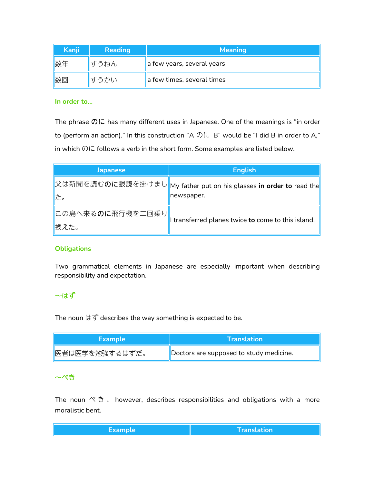| Kanji | <b>Reading</b> | <b>Meaning</b>             |
|-------|----------------|----------------------------|
| 数年    | すうねん           | a few years, several years |
| 数回    | すうかい           | a few times, several times |

#### **In order to…**

The phrase  $\mathcal{D}I\subset$  has many different uses in Japanese. One of the meanings is "in order to (perform an action)." In this construction "A  $\mathcal{D}\subset B$ " would be "I did B in order to A," in which のに follows a verb in the short form. Some examples are listed below.

| <b>Japanese</b>            | <b>English</b>                                                                       |  |
|----------------------------|--------------------------------------------------------------------------------------|--|
|                            | ∥父は新聞を読む <b>のに</b> 眼鏡を掛けまし∥My father put on his glasses <b>in order to</b> read the∥ |  |
| た。                         | newspaper.                                                                           |  |
| ∥この島へ来る <b>のに</b> 飛行機を二回乗り |                                                                                      |  |
| 換えた。                       | I transferred planes twice to come to this island.                                   |  |

#### **Obligations**

Two grammatical elements in Japanese are especially important when describing responsibility and expectation.

# 〜はず

The noun はず describes the way something is expected to be.

| <b>Example</b> | <b>Translation</b>                      |
|----------------|-----------------------------------------|
| 医者は医学を勉強するはずだ。 | Doctors are supposed to study medicine. |

#### 〜べき

The noun  $\aleph$   $\breve{\mathfrak{S}}$  , however, describes responsibilities and obligations with a more moralistic bent.

| ______ | <b>Translation</b> |
|--------|--------------------|
|        |                    |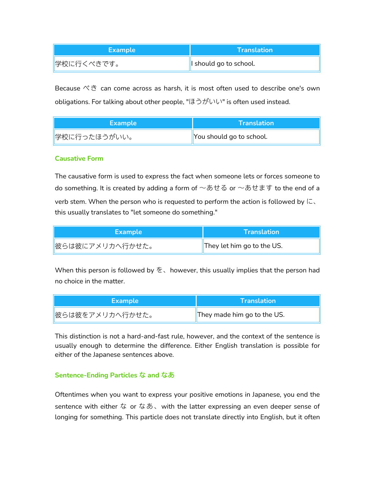| Example    | <b>\Translation\</b>   |
|------------|------------------------|
| 学校に行くべきです。 | I should go to school. |

Because べき can come across as harsh, it is most often used to describe one's own obligations. For talking about other people, "ほうがいい" is often used instead.

| <b>Example</b> | <b>Translation</b>       |
|----------------|--------------------------|
| ∥学校に行ったほうがいい。  | You should go to school. |

#### **Causative Form**

The causative form is used to express the fact when someone lets or forces someone to do something. It is created by adding a form of  $\sim$ あせる or  $\sim$ あせます to the end of a verb stem. When the person who is requested to perform the action is followed by に、 this usually translates to "let someone do something."

| <b>Example</b>  | <b>\Translation\</b>       |
|-----------------|----------------------------|
| 做らは彼にアメリカへ行かせた。 | They let him go to the US. |

When this person is followed by  $\&$ , however, this usually implies that the person had no choice in the matter.

| <b>Example</b>  | $\Lambda$ Translation $\Lambda$ |
|-----------------|---------------------------------|
| 做らは彼をアメリカへ行かせた。 | They made him go to the US.     |

This distinction is not a hard-and-fast rule, however, and the context of the sentence is usually enough to determine the difference. Either English translation is possible for either of the Japanese sentences above.

#### **Sentence-Ending Particles** な **and** なあ

Oftentimes when you want to express your positive emotions in Japanese, you end the sentence with either な or なあ、with the latter expressing an even deeper sense of longing for something. This particle does not translate directly into English, but it often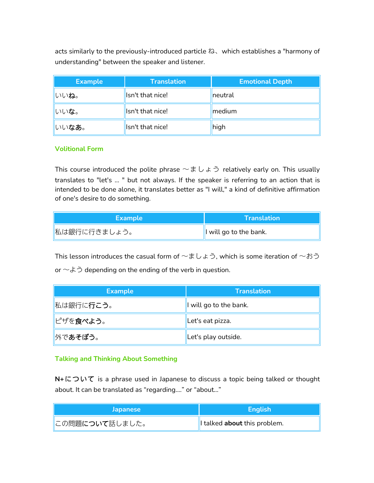acts similarly to the previously-introduced particle ね、which establishes a "harmony of understanding" between the speaker and listener.

| <b>Example</b> | <b>Translation</b> | <b>Emotional Depth</b> |
|----------------|--------------------|------------------------|
| いいね。           | Isn't that nice!   | neutral                |
| いいな。           | Isn't that nice!   | medium                 |
| いいなあ。          | Isn't that nice!   | high                   |

# **Volitional Form**

This course introduced the polite phrase  $\sim \pm U \pm 0$  relatively early on. This usually translates to "let's ... " but not always. If the speaker is referring to an action that is intended to be done alone, it translates better as "I will," a kind of definitive affirmation of one's desire to do something.

| Example      | <b>Translation</b>     |
|--------------|------------------------|
| 私は銀行に行きましょう。 | I will go to the bank. |

This lesson introduces the casual form of  $~\sim$ ましょう, which is some iteration of  $~\sim$ おう or  $\sim$   $\&$   $\gtrsim$  depending on the ending of the verb in question.

| <b>Example</b>    | <b>Translation</b>     |
|-------------------|------------------------|
| 私は銀行に行こう。         | I will go to the bank. |
| <u>∥</u> ピザを食べよう。 | Let's eat pizza.       |
| ■外であそぼう。          | Let's play outside.    |

# **Talking and Thinking About Something**

**N+**について is a phrase used in Japanese to discuss a topic being talked or thought about. It can be translated as "regarding...." or "about..."

| <b>Japanese</b>         | Enalish                     |
|-------------------------|-----------------------------|
| <b>  この問題について話しました。</b> | Italked about this problem. |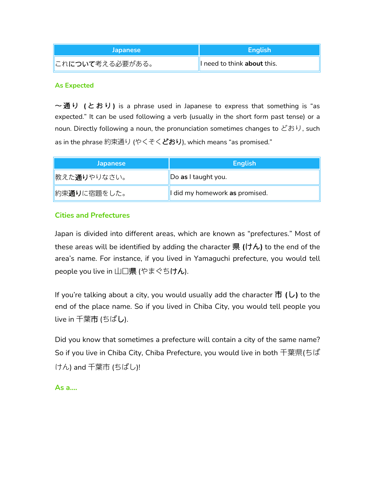| <b>Japanese</b>  | <b>English</b>             |
|------------------|----------------------------|
| ■これについて考える必要がある。 | Ineed to think about this. |

#### **As Expected**

 $\sim$ 通り (とおり) is a phrase used in Japanese to express that something is "as expected." It can be used following a verb (usually in the short form past tense) or a noun. Directly following a noun, the pronunciation sometimes changes to どおり, such as in the phrase 約束通り (やくそくどおり), which means "as promised."

| <b>Japanese</b>             | <b>English</b>                 |
|-----------------------------|--------------------------------|
| <u>  教えた<b>通り</b>やりなさい。</u> | Do as I taught you.            |
| 約束 <b>通り</b> に宿題をした。        | I did my homework as promised. |

# **Cities and Prefectures**

Japan is divided into different areas, which are known as "prefectures." Most of these areas will be identified by adding the character 県 **(**けん**)** to the end of the area's name. For instance, if you lived in Yamaguchi prefecture, you would tell people you live in 山口県 (やまぐちけん).

If you're talking about a city, you would usually add the character 市 **(**し**)** to the end of the place name. So if you lived in Chiba City, you would tell people you live in 千葉市 (ちばし).

Did you know that sometimes a prefecture will contain a city of the same name? So if you live in Chiba City, Chiba Prefecture, you would live in both 千葉県(ちば けん) and 千葉市 (ちばし)!

**As a….**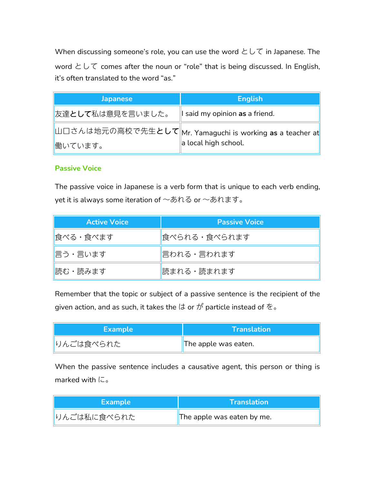When discussing someone's role, you can use the word  $\angle\cup\top$  in Japanese. The word として comes after the noun or "role" that is being discussed. In English, it's often translated to the word "as."

| <b>Japanese</b>           | <b>English</b>                                                                            |
|---------------------------|-------------------------------------------------------------------------------------------|
| <b>  友達として私は意見を言いました。</b> | I said my opinion as a friend.                                                            |
|                           | ∥山口さんは地元の高校で先生 <b>として</b> ∥Mr. Yamaguchi is working <b>as</b> a teacher at <mark>∣</mark> |
| 慟いています。                   | a local high school.                                                                      |

# **Passive Voice**

The passive voice in Japanese is a verb form that is unique to each verb ending, yet it is always some iteration of 〜あれる or 〜あれます。

| <b>Active Voice</b> | <b>Passive Voice</b> |
|---------------------|----------------------|
| 食べる・食べます            | 食べられる・食べられます         |
| 言う・言います             | 言われる・言われます           |
| 読む・読みます             | 読まれる・読まれます           |

Remember that the topic or subject of a passive sentence is the recipient of the given action, and as such, it takes the  $(1\sigma\sigma\phi)$  particle instead of  $\tilde{\mathcal{Z}}_{\sigma}$ 

| <b>Example</b> | <b>\Translation\</b> |
|----------------|----------------------|
| りんごは食べられた      | The apple was eaten. |

When the passive sentence includes a causative agent, this person or thing is marked with に。

| <b>Example</b> | <b>Translation</b>         |
|----------------|----------------------------|
| りんごは私に食べられた    | The apple was eaten by me. |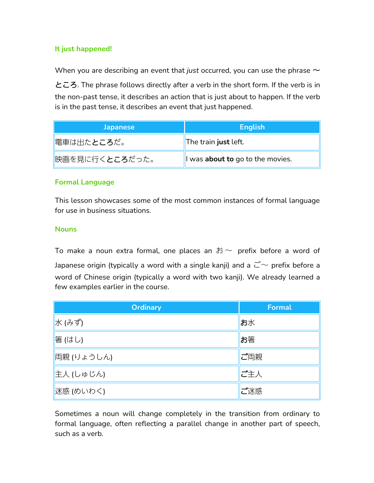# **It just happened!**

When you are describing an event that *just* occurred, you can use the phrase  $∼$ 

ところ. The phrase follows directly after a verb in the short form. If the verb is in the non-past tense, it describes an action that is just about to happen. If the verb is in the past tense, it describes an event that just happened.

| <b>Japanese</b>    | <b>English</b>                   |
|--------------------|----------------------------------|
| <b> 電車は出たところだ。</b> | The train just left.             |
| 映画を見に行くところだった。     | I was about to go to the movies. |

# **Formal Language**

This lesson showcases some of the most common instances of formal language for use in business situations.

# **Nouns**

To make a noun extra formal, one places an  $\ddot{\delta}$  ~ prefix before a word of Japanese origin (typically a word with a single kanji) and a  $\vec{C}$  prefix before a word of Chinese origin (typically a word with two kanji). We already learned a few examples earlier in the course.

| <b>Ordinary</b> | <b>Formal</b> |
|-----------------|---------------|
| 水 (みず)          | お水            |
| 箸 (はし)          | お箸            |
| 両親 (りょうしん)      | ご両親           |
| ▌主人 (しゅじん)      | ご主人           |
| 迷惑 (めいわく)       | ご迷惑           |

Sometimes a noun will change completely in the transition from ordinary to formal language, often reflecting a parallel change in another part of speech, such as a verb.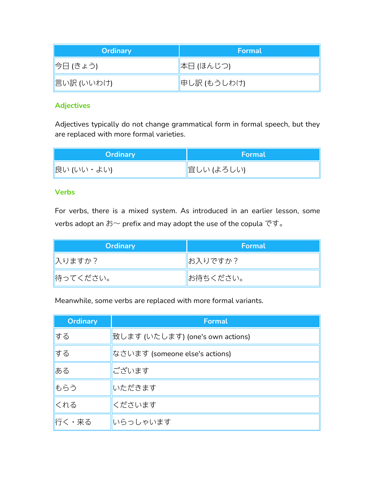| <b>Ordinary</b> | Formal      |
|-----------------|-------------|
| 今日 (きょう)        | 本日 (ほんじつ)   |
| ∥言い訳 (いいわけ)     | 申し訳 (もうしわけ) |

# **Adjectives**

Adjectives typically do not change grammatical form in formal speech, but they are replaced with more formal varieties.

| <b>Ordinary</b> | Formal      |
|-----------------|-------------|
| 良い (いい・よい)      | ■宜しい (よろしい) |

# **Verbs**

For verbs, there is a mixed system. As introduced in an earlier lesson, some verbs adopt an お〜 prefix and may adopt the use of the copula です。

| <b>Ordinary</b> | Formal   |
|-----------------|----------|
| ∥入りますか?         | ■お入りですか? |
| 情ってください。        | お待ちください。 |

Meanwhile, some verbs are replaced with more formal variants.

| <b>Ordinary</b> | <b>Formal</b>                    |
|-----------------|----------------------------------|
| する              | 致します (いたします) (one's own actions) |
| する              | なさいます (someone else's actions)   |
| ある              | ございます                            |
| もらう             | いただきます                           |
| くれる             | くださいます                           |
| 行く・来る           | いらっしゃいます                         |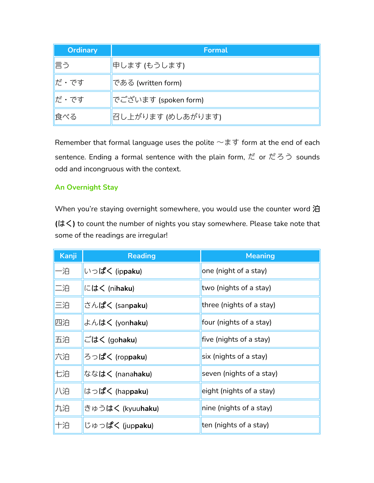| <b>Ordinary</b> | Formal               |
|-----------------|----------------------|
| 言う              | 申します (もうします)         |
| <b>  だ・です</b>   | である (written form)   |
| ∥だ・です           | でございます (spoken form) |
| 食べる             | 召し上がります (めしあがります)    |

Remember that formal language uses the polite  $\sim$ ます form at the end of each sentence. Ending a formal sentence with the plain form, だ or だろう sounds odd and incongruous with the context.

# **An Overnight Stay**

When you're staying overnight somewhere, you would use the counter word 泊 **(**はく**)** to count the number of nights you stay somewhere. Please take note that some of the readings are irregular!

| Kanji | <b>Reading</b>            | <b>Meaning</b>           |
|-------|---------------------------|--------------------------|
| 一泊    | いっぱく (ippaku)             | one (night of a stay)    |
| 二泊    | にはく (nihaku)              | two (nights of a stay)   |
| 三泊    | さんぱく (sanpaku)            | three (nights of a stay) |
| 四泊    | よんはく (yonhaku)            | four (nights of a stay)  |
| 五泊    | ごはく (gohaku)              | five (nights of a stay)  |
| 六泊    | ろっぱく (rop <b>paku</b> )   | six (nights of a stay)   |
| 七泊    | ななはく (nanahaku)           | seven (nights of a stay) |
| 八泊    | はっぱく (hap <b>paku</b> )   | eight (nights of a stay) |
| 九泊    | きゅうはく (kyuu <b>haku</b> ) | nine (nights of a stay)  |
| 十泊    | じゅっぱく (juppaku)           | ten (nights of a stay)   |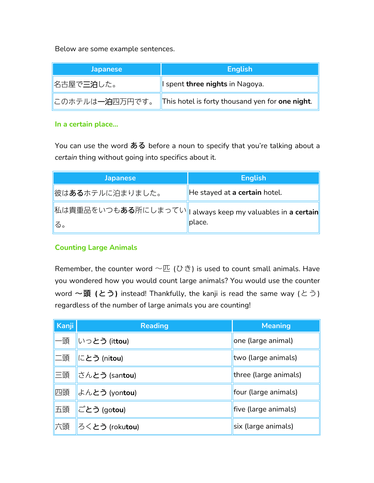Below are some example sentences.

| <b>Japanese</b>            | <b>English</b>                                  |
|----------------------------|-------------------------------------------------|
| <u>   名古屋で<b>三泊</b>した。</u> | I spent three nights in Nagoya.                 |
| <u>∥このホテルは一泊四万円です。</u>     | This hotel is forty thousand yen for one night. |

# **In a certain place…**

You can use the word ある before a noun to specify that you're talking about a *certain* thing without going into specifics about it.

| <b>Japanese</b>                                                               | <b>English</b>                |
|-------------------------------------------------------------------------------|-------------------------------|
| <u>∥彼は<b>ある</b>ホテルに泊まりました。</u>                                                | He stayed at a certain hotel. |
| ∥私は貴重品をいつも <b>ある</b> 所にしまってい∥I always keep my valuables in <b>a certain</b> ∥ |                               |
| る。                                                                            | place.                        |

# **Counting Large Animals**

Remember, the counter word  $\sim \mathbb{E}$  (ひき) is used to count small animals. Have you wondered how you would count large animals? You would use the counter word 〜頭 (とう) instead! Thankfully, the kanji is read the same way (とう) regardless of the number of large animals you are counting!

| Kanji | <b>Reading</b>                  | <b>Meaning</b>        |
|-------|---------------------------------|-----------------------|
| -頭    | いっとう (ittou)                    | one (large animal)    |
| 二頭    | にとう (ni <b>tou</b> )            | two (large animals)   |
| 三頭    | さん <b>とう</b> (san <b>tou</b> )  | three (large animals) |
| 四頭    | よんとう (yontou)                   | four (large animals)  |
| 五頭    | ごとう (gotou)                     | five (large animals)  |
| 六頭    | ろく <b>とう</b> (roku <b>tou</b> ) | six (large animals)   |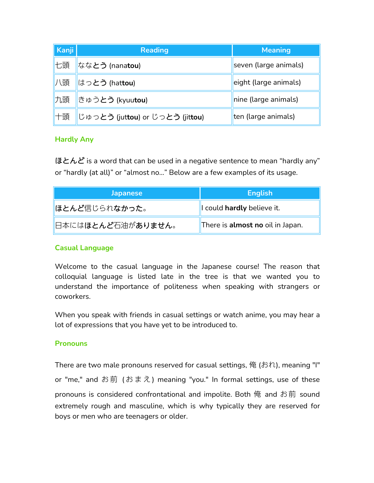| Kanji | <b>Reading</b>                                     | <b>Meaning</b>        |  |
|-------|----------------------------------------------------|-----------------------|--|
| 七頭    | ねな <b>とう</b> (nana <b>tou</b> )                    | seven (large animals) |  |
| 八頭    | はっとう (hattou)                                      | eight (large animals) |  |
| 九頭    | ∥きゅう <b>とう (kyuutou)</b>                           | nine (large animals)  |  |
| ∥十頭   | ∥じゅっとう (jut <b>tou</b> ) or じっとう (jit <b>tou</b> ) | ten (large animals)   |  |

# **Hardly Any**

ほとんど is a word that can be used in a negative sentence to mean "hardly any"<br>or "hardly (at all)" or "almost no…" Below are a few examples of its usage.

| <b>Japanese</b>        | English                                 |
|------------------------|-----------------------------------------|
| <b>  ほとんど信じられなかった。</b> | I could hardly believe it.              |
|                        | There is <b>almost no</b> oil in Japan. |

# **Casual Language**

Welcome to the casual language in the Japanese course! The reason that colloquial language is listed late in the tree is thatwe wanted you to understand the importance of politeness when speaking with strangers or coworkers.

When you speak with friends in casual settings or watch anime, you may hear a lot of expressions that you have yet to be introduced to.

# **Pronouns**

There are two male pronouns reserved for casual settings, 俺 (おれ), meaning "I" or "me," and お前 (おまえ) meaning "you." In formal settings, use of these pronouns is considered confrontational and impolite. Both 俺 and お前 sound extremely rough and masculine, which is why typically they are reserved for boys or men who are teenagers or older.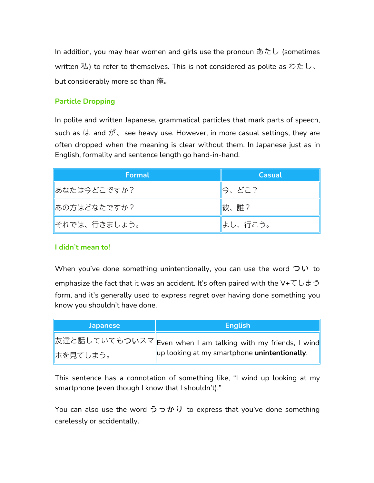In addition, you may hear women and girls use the pronoun  $\bar{\phi} \bar{\chi} \cup$  (sometimes written  $\Phi$ ) to refer to themselves. This is not considered as polite as わたし、 but considerably more so than 俺。

# **Particle Dropping**

In polite and written Japanese, grammatical particles that mark parts of speech, such as  $\vert\ddot\phi\vert$  and  $\ddot{\mathcal{D}}$ , see heavy use. However, in more casual settings, they are often dropped when the meaning is clear without them. In Japanese just as in English, formality and sentence length go hand-in-hand.

| Formal        | <b>Casual</b> |
|---------------|---------------|
| あなたは今どこですか?   | ∥今、どこ?        |
| あの方はどなたですか?   | 彼、誰?          |
| ∥それでは、行きましょう。 | はし、行こう。       |

# **I didn't mean to!**

When you've done something unintentionally, you can use the word  $\supset \cup$  to emphasize the fact that it was an accident. It's often paired with the V+てしまう form, and it's generally used to express regret over having done something you know you shouldn't have done.

| <b>Japanese</b>         | <b>English</b>                                                |
|-------------------------|---------------------------------------------------------------|
|                         | 友達と話していてもついスマ  Even when I am talking with my friends, I wind |
| <mark> </mark> ホを見てしまう。 | up looking at my smartphone unintentionally.                  |

This sentence has a connotation of something like, "I wind up looking at my smartphone (even though I know that I shouldn't)."

You can also use the word  $\partial \partial \psi$  to express that you've done something carelessly or accidentally.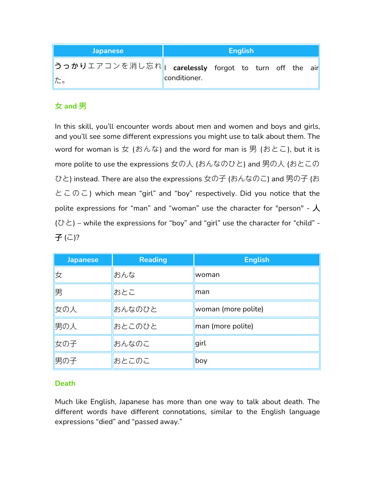| <b>Japanese</b>                                                                                   | <b>English</b> |  |  |  |  |  |  |
|---------------------------------------------------------------------------------------------------|----------------|--|--|--|--|--|--|
| <mark> うっかり</mark> エアコンを消し忘れ <mark>   carelessly</mark> forgot to turn off the air <mark> </mark> |                |  |  |  |  |  |  |
| た。                                                                                                | conditioner.   |  |  |  |  |  |  |

# 女 **and** 男

In this skill, you'll encounter words about men and women and boys and girls, and you'll see some different expressions you might use to talk about them. The word for woman is 女 (おんな) and the word for man is 男 (おとこ), but it is more polite to use the expressions 女の人 (おんなのひと) and 男の人 (おとこの ひと) instead. There are also the expressions 女の子 (おんなのこ) and 男の子 (お とこのこ) which mean "girl" and "boy" respectively. Did you notice that the polite expressions for "man" and "woman" use the character for "person" -  $\lambda$  $(\bullet \succeq)$  – while the expressions for "boy" and "girl" use the character for "child" -子(こ)?

| <b>Japanese</b> | <b>Reading</b> | <b>English</b>      |
|-----------------|----------------|---------------------|
| 攵               | おんな            | woman               |
| 男               | おとこ            | lman                |
| 女の人             | おんなのひと         | woman (more polite) |
| 男の人             | おとこのひと         | man (more polite)   |
| 女の子             | おんなのこ          | girl                |
| 男の子             | おとこのこ          | boy                 |

# **Death**

Much like English, Japanese has more than one way to talk about death. The different words have different connotations, similar to the English language expressions "died" and "passed away."